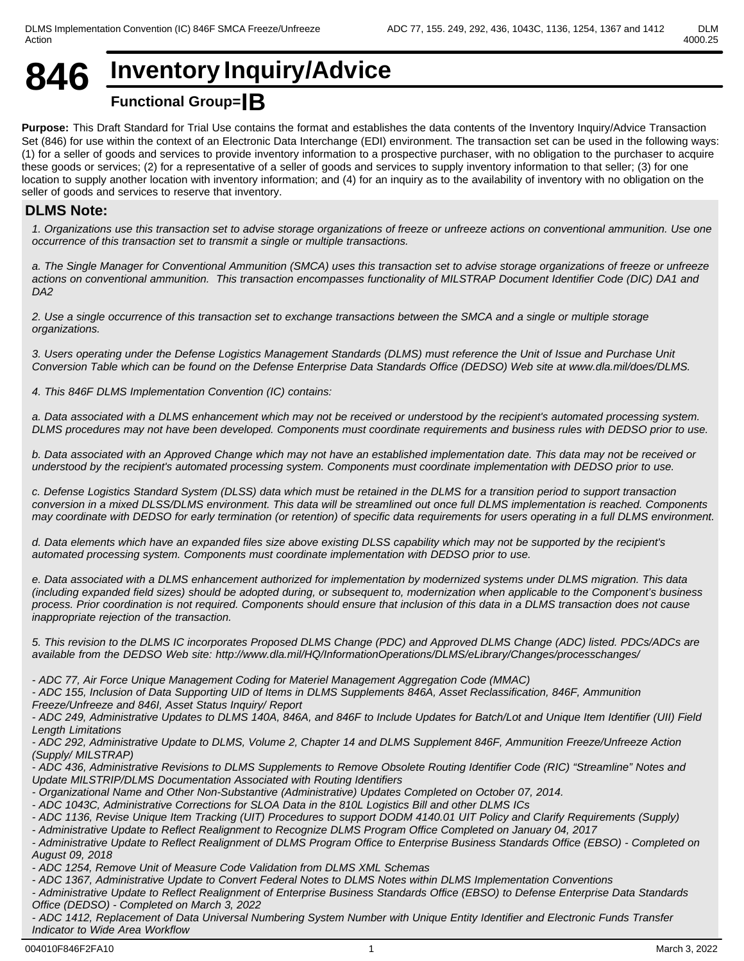# **846 Inventory Inquiry/Advice Functional Group=IB**

**Purpose:** This Draft Standard for Trial Use contains the format and establishes the data contents of the Inventory Inquiry/Advice Transaction Set (846) for use within the context of an Electronic Data Interchange (EDI) environment. The transaction set can be used in the following ways: (1) for a seller of goods and services to provide inventory information to a prospective purchaser, with no obligation to the purchaser to acquire these goods or services; (2) for a representative of a seller of goods and services to supply inventory information to that seller; (3) for one location to supply another location with inventory information; and (4) for an inquiry as to the availability of inventory with no obligation on the seller of goods and services to reserve that inventory.

#### **DLMS Note:**

*1. Organizations use this transaction set to advise storage organizations of freeze or unfreeze actions on conventional ammunition. Use one occurrence of this transaction set to transmit a single or multiple transactions.*

*a. The Single Manager for Conventional Ammunition (SMCA) uses this transaction set to advise storage organizations of freeze or unfreeze actions on conventional ammunition. This transaction encompasses functionality of MILSTRAP Document Identifier Code (DIC) DA1 and DA2*

*2. Use a single occurrence of this transaction set to exchange transactions between the SMCA and a single or multiple storage organizations.*

*3. Users operating under the Defense Logistics Management Standards (DLMS) must reference the Unit of Issue and Purchase Unit Conversion Table which can be found on the Defense Enterprise Data Standards Office (DEDSO) Web site at www.dla.mil/does/DLMS.*

*4. This 846F DLMS Implementation Convention (IC) contains:*

*a. Data associated with a DLMS enhancement which may not be received or understood by the recipient's automated processing system. DLMS procedures may not have been developed. Components must coordinate requirements and business rules with DEDSO prior to use.*

*b. Data associated with an Approved Change which may not have an established implementation date. This data may not be received or understood by the recipient's automated processing system. Components must coordinate implementation with DEDSO prior to use.* 

*c. Defense Logistics Standard System (DLSS) data which must be retained in the DLMS for a transition period to support transaction conversion in a mixed DLSS/DLMS environment. This data will be streamlined out once full DLMS implementation is reached. Components may coordinate with DEDSO for early termination (or retention) of specific data requirements for users operating in a full DLMS environment.*

*d. Data elements which have an expanded files size above existing DLSS capability which may not be supported by the recipient's automated processing system. Components must coordinate implementation with DEDSO prior to use.*

*e. Data associated with a DLMS enhancement authorized for implementation by modernized systems under DLMS migration. This data (including expanded field sizes) should be adopted during, or subsequent to, modernization when applicable to the Component's business process. Prior coordination is not required. Components should ensure that inclusion of this data in a DLMS transaction does not cause inappropriate rejection of the transaction.*

*5. This revision to the DLMS IC incorporates Proposed DLMS Change (PDC) and Approved DLMS Change (ADC) listed. PDCs/ADCs are available from the DEDSO Web site: http://www.dla.mil/HQ/InformationOperations/DLMS/eLibrary/Changes/processchanges/*

*- ADC 77, Air Force Unique Management Coding for Materiel Management Aggregation Code (MMAC)*

*- ADC 155, Inclusion of Data Supporting UID of Items in DLMS Supplements 846A, Asset Reclassification, 846F, Ammunition Freeze/Unfreeze and 846I, Asset Status Inquiry/ Report*

*- ADC 249, Administrative Updates to DLMS 140A, 846A, and 846F to Include Updates for Batch/Lot and Unique Item Identifier (UII) Field Length Limitations*

*- ADC 292, Administrative Update to DLMS, Volume 2, Chapter 14 and DLMS Supplement 846F, Ammunition Freeze/Unfreeze Action (Supply/ MILSTRAP)*

*- ADC 436, Administrative Revisions to DLMS Supplements to Remove Obsolete Routing Identifier Code (RIC) "Streamline" Notes and Update MILSTRIP/DLMS Documentation Associated with Routing Identifiers*

*- Organizational Name and Other Non-Substantive (Administrative) Updates Completed on October 07, 2014.*

*- ADC 1043C, Administrative Corrections for SLOA Data in the 810L Logistics Bill and other DLMS ICs*

*- ADC 1136, Revise Unique Item Tracking (UIT) Procedures to support DODM 4140.01 UIT Policy and Clarify Requirements (Supply)*

*- Administrative Update to Reflect Realignment to Recognize DLMS Program Office Completed on January 04, 2017*

*- Administrative Update to Reflect Realignment of DLMS Program Office to Enterprise Business Standards Office (EBSO) - Completed on August 09, 2018*

*- ADC 1254, Remove Unit of Measure Code Validation from DLMS XML Schemas*

*- ADC 1367, Administrative Update to Convert Federal Notes to DLMS Notes within DLMS Implementation Conventions*

*- Administrative Update to Reflect Realignment of Enterprise Business Standards Office (EBSO) to Defense Enterprise Data Standards Office (DEDSO) - Completed on March 3, 2022*

*- ADC 1412, Replacement of Data Universal Numbering System Number with Unique Entity Identifier and Electronic Funds Transfer Indicator to Wide Area Workflow*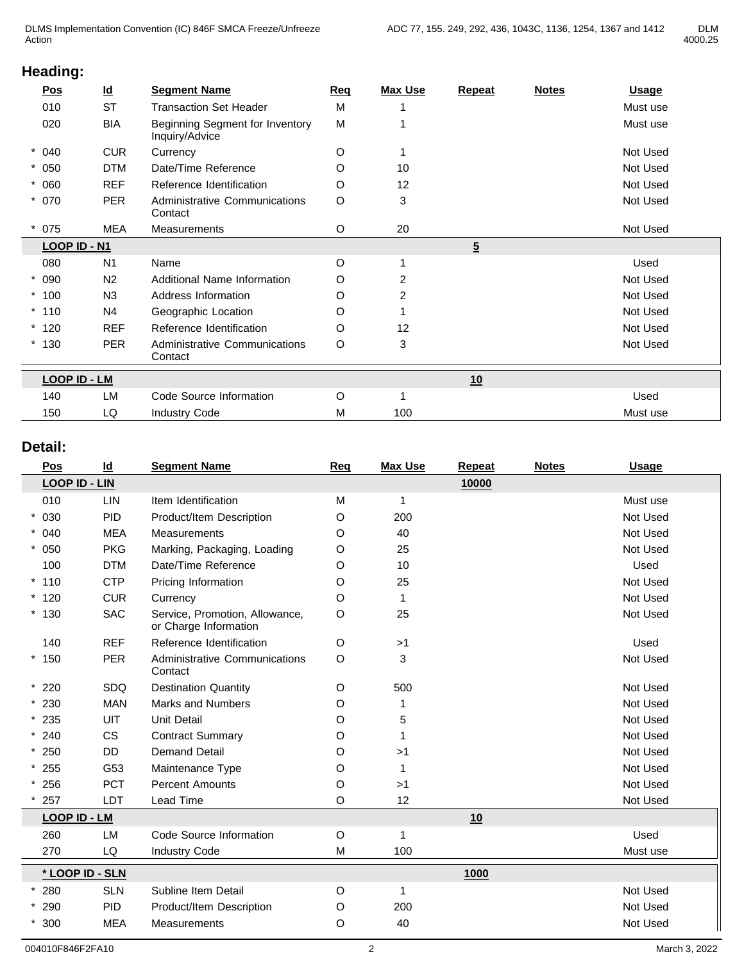| <u>Pos</u>          | $\underline{\mathsf{Id}}$ | <b>Segment Name</b>                               | Req     | <b>Max Use</b> | Repeat         | <b>Notes</b> | <b>Usage</b> |
|---------------------|---------------------------|---------------------------------------------------|---------|----------------|----------------|--------------|--------------|
| 010                 | <b>ST</b>                 | <b>Transaction Set Header</b>                     | M       |                |                |              | Must use     |
| 020                 | <b>BIA</b>                | Beginning Segment for Inventory<br>Inquiry/Advice | M       |                |                |              | Must use     |
| $* 040$             | <b>CUR</b>                | Currency                                          | O       |                |                |              | Not Used     |
| $* 050$             | <b>DTM</b>                | Date/Time Reference                               | O       | 10             |                |              | Not Used     |
| $* 060$             | <b>REF</b>                | Reference Identification                          | O       | 12             |                |              | Not Used     |
| $* 070$             | <b>PER</b>                | <b>Administrative Communications</b><br>Contact   | $\circ$ | 3              |                |              | Not Used     |
| $*075$              | <b>MEA</b>                | Measurements                                      | O       | 20             |                |              | Not Used     |
| LOOP ID - N1        |                           |                                                   |         |                | $\overline{5}$ |              |              |
| 080                 | N <sub>1</sub>            | Name                                              | O       |                |                |              | Used         |
| $* 090$             | N <sub>2</sub>            | Additional Name Information                       | O       | 2              |                |              | Not Used     |
| $*100$              | N <sub>3</sub>            | Address Information                               | $\circ$ | $\overline{2}$ |                |              | Not Used     |
| $*110$              | N4                        | Geographic Location                               | O       |                |                |              | Not Used     |
| $*120$              | <b>REF</b>                | Reference Identification                          | O       | 12             |                |              | Not Used     |
| $*130$              | <b>PER</b>                | Administrative Communications<br>Contact          | O       | 3              |                |              | Not Used     |
| <b>LOOP ID - LM</b> |                           |                                                   |         |                | 10             |              |              |
| 140                 | LM                        | Code Source Information                           | O       |                |                |              | Used         |
| 150                 | LQ                        | <b>Industry Code</b>                              | М       | 100            |                |              | Must use     |
|                     |                           |                                                   |         |                |                |              |              |

## **Detail:**

| Pos                  | $\underline{\mathsf{Id}}$ | <b>Segment Name</b>                                     | Req     | <b>Max Use</b> | Repeat | <b>Notes</b> | <b>Usage</b> |
|----------------------|---------------------------|---------------------------------------------------------|---------|----------------|--------|--------------|--------------|
| <b>LOOP ID - LIN</b> |                           |                                                         |         |                | 10000  |              |              |
| 010                  | LIN                       | Item Identification                                     | M       | 1              |        |              | Must use     |
| $* 030$              | PID                       | Product/Item Description                                | O       | 200            |        |              | Not Used     |
| $* 040$              | <b>MEA</b>                | <b>Measurements</b>                                     | O       | 40             |        |              | Not Used     |
| $* 050$              | <b>PKG</b>                | Marking, Packaging, Loading                             | O       | 25             |        |              | Not Used     |
| 100                  | <b>DTM</b>                | Date/Time Reference                                     | O       | 10             |        |              | Used         |
| $*110$               | <b>CTP</b>                | Pricing Information                                     | O       | 25             |        |              | Not Used     |
| $*120$               | <b>CUR</b>                | Currency                                                | $\circ$ | 1              |        |              | Not Used     |
| $*130$               | <b>SAC</b>                | Service, Promotion, Allowance,<br>or Charge Information | O       | 25             |        |              | Not Used     |
| 140                  | <b>REF</b>                | Reference Identification                                | O       | >1             |        |              | Used         |
| $*150$               | <b>PER</b>                | Administrative Communications<br>Contact                | O       | 3              |        |              | Not Used     |
| $*220$               | SDQ                       | <b>Destination Quantity</b>                             | O       | 500            |        |              | Not Used     |
| $*230$               | <b>MAN</b>                | <b>Marks and Numbers</b>                                | O       | 1              |        |              | Not Used     |
| $*235$               | <b>UIT</b>                | <b>Unit Detail</b>                                      | O       | 5              |        |              | Not Used     |
| $* 240$              | <b>CS</b>                 | <b>Contract Summary</b>                                 | O       | 1              |        |              | Not Used     |
| $*250$               | DD                        | <b>Demand Detail</b>                                    | O       | >1             |        |              | Not Used     |
| $*255$               | G53                       | Maintenance Type                                        | O       | 1              |        |              | Not Used     |
| $* 256$              | <b>PCT</b>                | <b>Percent Amounts</b>                                  | O       | >1             |        |              | Not Used     |
| 257                  | <b>LDT</b>                | Lead Time                                               | O       | 12             |        |              | Not Used     |
| <b>LOOP ID - LM</b>  |                           |                                                         |         |                | 10     |              |              |
| 260                  | <b>LM</b>                 | Code Source Information                                 | O       | 1              |        |              | Used         |
| 270                  | LQ                        | <b>Industry Code</b>                                    | M       | 100            |        |              | Must use     |
| * LOOP ID - SLN      |                           |                                                         |         |                | 1000   |              |              |
| 280                  | <b>SLN</b>                | Subline Item Detail                                     | O       | 1              |        |              | Not Used     |
| * 290                | <b>PID</b>                | Product/Item Description                                | O       | 200            |        |              | Not Used     |
| $*300$               | <b>MEA</b>                | <b>Measurements</b>                                     | O       | 40             |        |              | Not Used     |
|                      |                           |                                                         |         |                |        |              |              |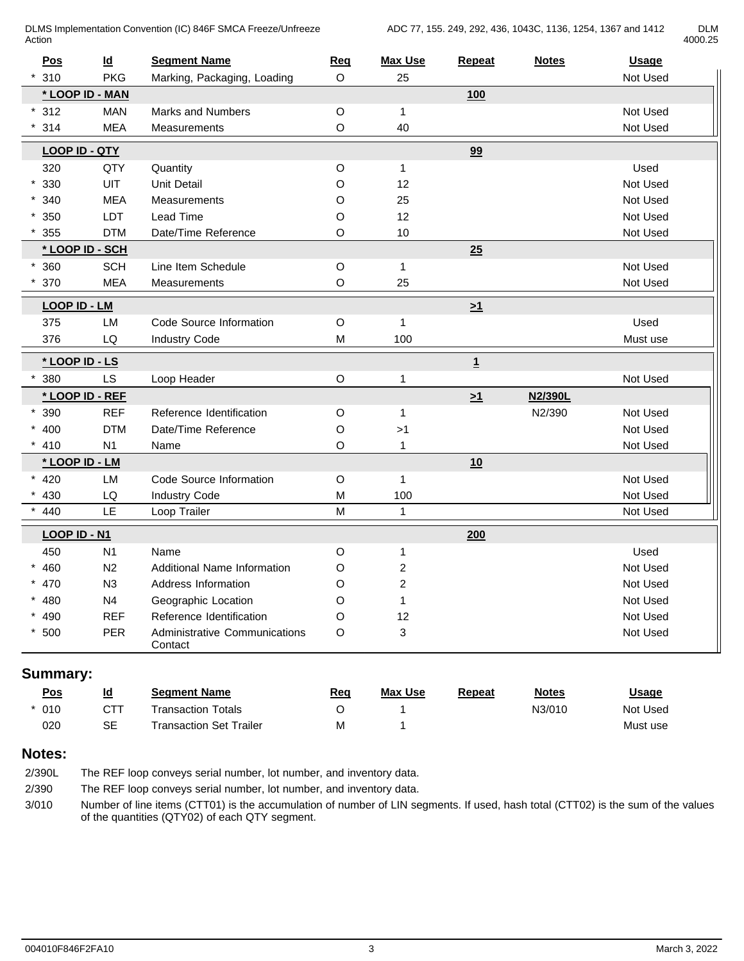DLMS Implementation Convention (IC) 846F SMCA Freeze/Unfreeze Action **Action** 

| di M    |
|---------|
| 4000.25 |

| Pos                  | $\underline{\mathsf{Id}}$ | <b>Segment Name</b>                             | Req                                                                                   | <b>Max Use</b> | Repeat       | <b>Notes</b> | <b>Usage</b> |
|----------------------|---------------------------|-------------------------------------------------|---------------------------------------------------------------------------------------|----------------|--------------|--------------|--------------|
| 310                  | <b>PKG</b>                | Marking, Packaging, Loading                     | $\circ$                                                                               | 25             |              |              | Not Used     |
|                      | * LOOP ID - MAN           |                                                 |                                                                                       |                | 100          |              |              |
| $*312$               | <b>MAN</b>                | Marks and Numbers                               | $\mathsf O$                                                                           | $\mathbf{1}$   |              |              | Not Used     |
| 314                  | <b>MEA</b>                | <b>Measurements</b>                             | $\mathsf O$                                                                           | 40             |              |              | Not Used     |
| <b>LOOP ID - QTY</b> |                           |                                                 |                                                                                       |                | 99           |              |              |
| 320                  | QTY                       | Quantity                                        | $\mathsf O$                                                                           | $\mathbf{1}$   |              |              | Used         |
| 330                  | UIT                       | Unit Detail                                     | O                                                                                     | 12             |              |              | Not Used     |
| $*340$               | <b>MEA</b>                | Measurements                                    | $\mathsf O$                                                                           | 25             |              |              | Not Used     |
| $*350$               | LDT                       | Lead Time                                       | O                                                                                     | 12             |              |              | Not Used     |
| 355                  | <b>DTM</b>                | Date/Time Reference                             | O                                                                                     | 10             |              |              | Not Used     |
|                      | * LOOP ID - SCH           |                                                 |                                                                                       |                | 25           |              |              |
| 360                  | <b>SCH</b>                | Line Item Schedule                              | $\mathsf O$                                                                           | $\mathbf{1}$   |              |              | Not Used     |
| 370                  | <b>MEA</b>                | Measurements                                    | O                                                                                     | 25             |              |              | Not Used     |
| <b>LOOP ID - LM</b>  |                           |                                                 |                                                                                       |                | $\geq 1$     |              |              |
| 375                  | LM                        | Code Source Information                         | $\mathsf O$                                                                           | $\mathbf{1}$   |              |              | Used         |
| 376                  | LQ                        | <b>Industry Code</b>                            | ${\sf M}$                                                                             | 100            |              |              | Must use     |
| * LOOP ID - LS       |                           |                                                 |                                                                                       |                | $\mathbf{1}$ |              |              |
| 380                  | LS                        | Loop Header                                     | $\mathsf O$                                                                           | $\mathbf{1}$   |              |              | Not Used     |
|                      | * LOOP ID - REF           |                                                 |                                                                                       |                | $\geq 1$     | N2/390L      |              |
| $*390$               | <b>REF</b>                | Reference Identification                        | $\mathsf O$                                                                           | $\mathbf{1}$   |              | N2/390       | Not Used     |
| $* 400$              | <b>DTM</b>                | Date/Time Reference                             | O                                                                                     | >1             |              |              | Not Used     |
| 410                  | N <sub>1</sub>            | Name                                            | $\mathsf O$                                                                           | $\mathbf{1}$   |              |              | Not Used     |
|                      | * LOOP ID - LM            |                                                 |                                                                                       |                | 10           |              |              |
| $* 420$              | LM                        | Code Source Information                         | $\circ$                                                                               | $\mathbf{1}$   |              |              | Not Used     |
| 430                  | LQ                        | <b>Industry Code</b>                            | M                                                                                     | 100            |              |              | Not Used     |
| 440                  | LE                        | Loop Trailer                                    | $\mathsf{M}% _{T}=\mathsf{M}_{T}\!\left( a,b\right) ,\ \mathsf{M}_{T}=\mathsf{M}_{T}$ | $\mathbf{1}$   |              |              | Not Used     |
| LOOP ID - N1         |                           |                                                 |                                                                                       |                | 200          |              |              |
| 450                  | N <sub>1</sub>            | Name                                            | $\circ$                                                                               | $\mathbf{1}$   |              |              | Used         |
| $* 460$              | N2                        | <b>Additional Name Information</b>              | O                                                                                     | $\overline{c}$ |              |              | Not Used     |
| $* 470$              | N3                        | Address Information                             | $\circ$                                                                               | $\overline{c}$ |              |              | Not Used     |
| $* 480$              | N4                        | Geographic Location                             | O                                                                                     | $\mathbf{1}$   |              |              | Not Used     |
| $* 490$              | <b>REF</b>                | Reference Identification                        | O                                                                                     | 12             |              |              | Not Used     |
| $*500$               | PER                       | <b>Administrative Communications</b><br>Contact | O                                                                                     | 3              |              |              | Not Used     |

# **Summary:**

| $\underline{\text{Pos}}$ | <u>ld</u>           | <b>Seament Name</b>                     | Req | <b>Max Use</b> | Repeat | <b>Notes</b> | <u>Usage</u> |
|--------------------------|---------------------|-----------------------------------------|-----|----------------|--------|--------------|--------------|
| 010                      | ~--<br>◡            | Totals<br>⊺ransaction                   |     |                |        | N3/010       | Not Used     |
| 020                      | $\sim$ $\sim$<br>⊃⊏ | Trailer<br>Гransaction Set <sup>-</sup> | IVI |                |        |              | Must use     |
|                          |                     |                                         |     |                |        |              |              |

### **Notes:**

| 2/390L | The REF loop conveys serial number, lot number, and inventory data.                                                                                                                |
|--------|------------------------------------------------------------------------------------------------------------------------------------------------------------------------------------|
| 2/390  | The REF loop conveys serial number, lot number, and inventory data.                                                                                                                |
| 3/010  | Number of line items (CTT01) is the accumulation of number of LIN segments. If used, hash total (CTT02) is the sum of the values<br>of the quantities (QTY02) of each QTY segment. |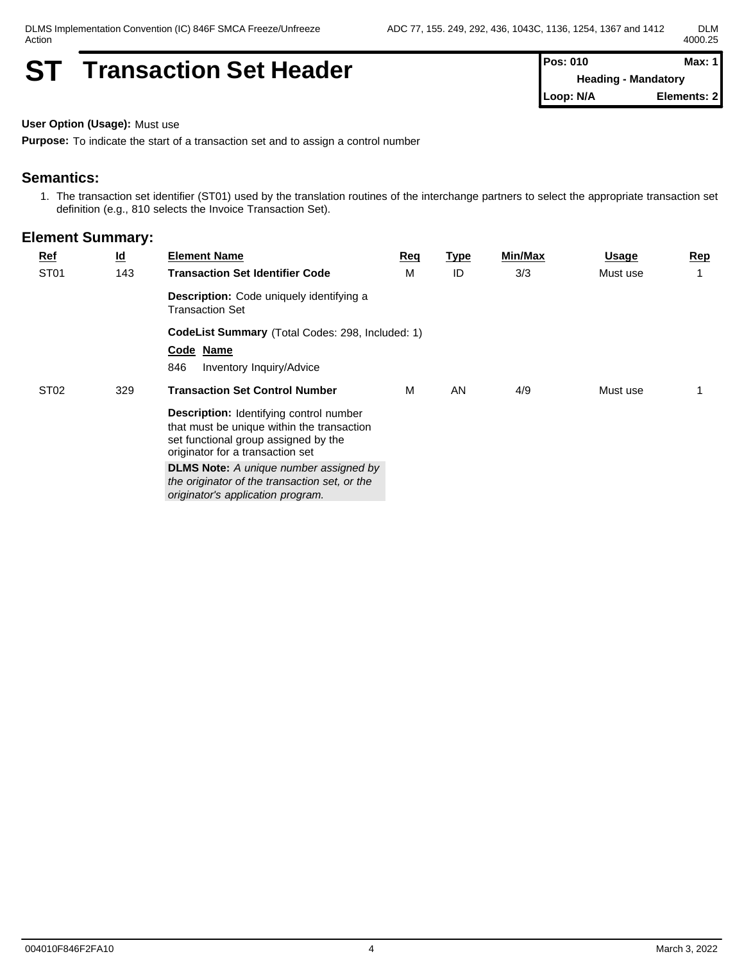# **ST Transaction Set Header Pos: 010 Max: 1 Max: 1**

**Heading - Mandatory Loop: N/A Elements: 2**

**User Option (Usage):** Must use

**Purpose:** To indicate the start of a transaction set and to assign a control number

#### **Semantics:**

1. The transaction set identifier (ST01) used by the translation routines of the interchange partners to select the appropriate transaction set definition (e.g., 810 selects the Invoice Transaction Set).

| $Ref$            | <u>ld</u> | <b>Element Name</b>                                                                                                                                                      | Req | <u>Type</u> | Min/Max | Usage    | $\mathbf{Rep}$ |
|------------------|-----------|--------------------------------------------------------------------------------------------------------------------------------------------------------------------------|-----|-------------|---------|----------|----------------|
| ST <sub>01</sub> | 143       | <b>Transaction Set Identifier Code</b>                                                                                                                                   | M   | ID          | 3/3     | Must use |                |
|                  |           | <b>Description:</b> Code uniquely identifying a<br><b>Transaction Set</b>                                                                                                |     |             |         |          |                |
|                  |           | <b>CodeList Summary</b> (Total Codes: 298, Included: 1)                                                                                                                  |     |             |         |          |                |
|                  |           | Code Name                                                                                                                                                                |     |             |         |          |                |
|                  |           | 846<br>Inventory Inquiry/Advice                                                                                                                                          |     |             |         |          |                |
| ST <sub>02</sub> | 329       | <b>Transaction Set Control Number</b>                                                                                                                                    | м   | AN          | 4/9     | Must use |                |
|                  |           | <b>Description:</b> Identifying control number<br>that must be unique within the transaction<br>set functional group assigned by the<br>originator for a transaction set |     |             |         |          |                |
|                  |           | <b>DLMS Note:</b> A unique number assigned by<br>the originator of the transaction set, or the<br>originator's application program.                                      |     |             |         |          |                |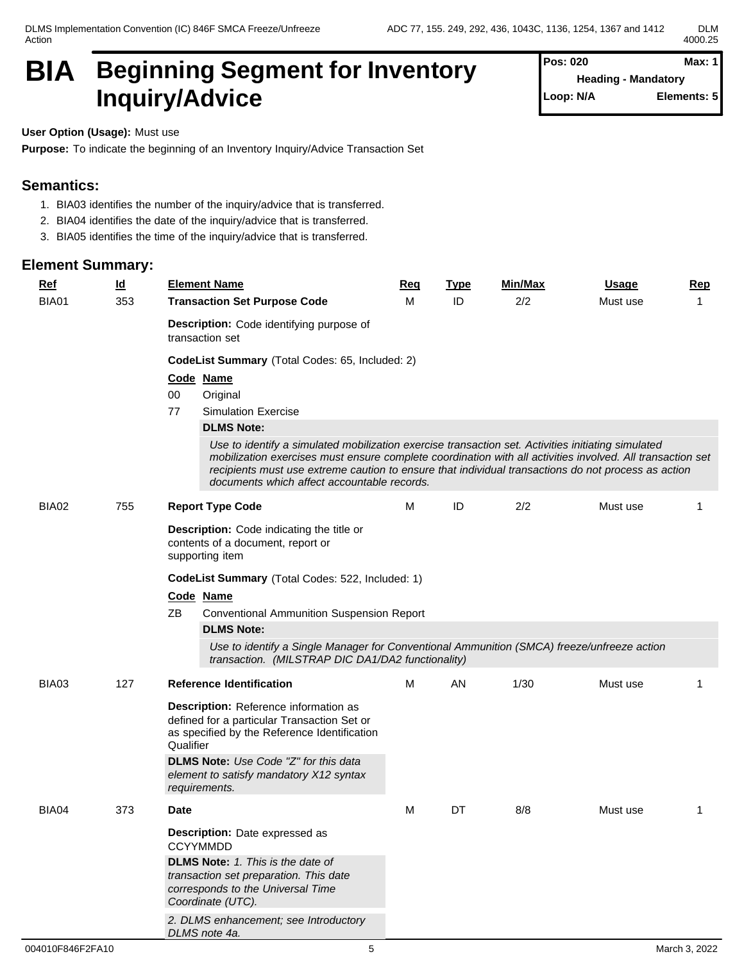DLMS Implementation Convention (IC) 846F SMCA Freeze/Unfreeze Action

# **BIA** Beginning Segment for Inventory Pos: 020 Max: 1 **Inquiry/Advice**

**Pos: 020 Heading - Mandatory Elements: 5** 

**User Option (Usage):** Must use

**Purpose:** To indicate the beginning of an Inventory Inquiry/Advice Transaction Set

#### **Semantics:**

- 1. BIA03 identifies the number of the inquiry/advice that is transferred.
- 2. BIA04 identifies the date of the inquiry/advice that is transferred.
- 3. BIA05 identifies the time of the inquiry/advice that is transferred.

| <b>Ref</b>   | $\overline{\mathsf{q}}$ | <b>Element Name</b>                                                                                                                                                                                                                                                                                                                                                    | <u>Req</u> | <b>Type</b> | Min/Max | <b>Usage</b> | Rep |
|--------------|-------------------------|------------------------------------------------------------------------------------------------------------------------------------------------------------------------------------------------------------------------------------------------------------------------------------------------------------------------------------------------------------------------|------------|-------------|---------|--------------|-----|
| <b>BIA01</b> | 353                     | <b>Transaction Set Purpose Code</b>                                                                                                                                                                                                                                                                                                                                    | м          | ID          | 2/2     | Must use     | 1   |
|              |                         | Description: Code identifying purpose of<br>transaction set                                                                                                                                                                                                                                                                                                            |            |             |         |              |     |
|              |                         | CodeList Summary (Total Codes: 65, Included: 2)                                                                                                                                                                                                                                                                                                                        |            |             |         |              |     |
|              |                         | Code Name                                                                                                                                                                                                                                                                                                                                                              |            |             |         |              |     |
|              |                         | 00<br>Original                                                                                                                                                                                                                                                                                                                                                         |            |             |         |              |     |
|              |                         | 77<br><b>Simulation Exercise</b>                                                                                                                                                                                                                                                                                                                                       |            |             |         |              |     |
|              |                         | <b>DLMS Note:</b>                                                                                                                                                                                                                                                                                                                                                      |            |             |         |              |     |
|              |                         | Use to identify a simulated mobilization exercise transaction set. Activities initiating simulated<br>mobilization exercises must ensure complete coordination with all activities involved. All transaction set<br>recipients must use extreme caution to ensure that individual transactions do not process as action<br>documents which affect accountable records. |            |             |         |              |     |
| BIA02        | 755                     | <b>Report Type Code</b>                                                                                                                                                                                                                                                                                                                                                | м          | ID          | 2/2     | Must use     | 1   |
|              |                         | <b>Description:</b> Code indicating the title or<br>contents of a document, report or<br>supporting item                                                                                                                                                                                                                                                               |            |             |         |              |     |
|              |                         | CodeList Summary (Total Codes: 522, Included: 1)                                                                                                                                                                                                                                                                                                                       |            |             |         |              |     |
|              |                         | Code Name                                                                                                                                                                                                                                                                                                                                                              |            |             |         |              |     |
|              |                         | ΖB<br><b>Conventional Ammunition Suspension Report</b><br><b>DLMS Note:</b>                                                                                                                                                                                                                                                                                            |            |             |         |              |     |
|              |                         | Use to identify a Single Manager for Conventional Ammunition (SMCA) freeze/unfreeze action<br>transaction. (MILSTRAP DIC DA1/DA2 functionality)                                                                                                                                                                                                                        |            |             |         |              |     |
| BIA03        | 127                     | <b>Reference Identification</b>                                                                                                                                                                                                                                                                                                                                        | M          | AN          | 1/30    | Must use     | -1  |
|              |                         | Description: Reference information as<br>defined for a particular Transaction Set or<br>as specified by the Reference Identification<br>Qualifier<br><b>DLMS Note:</b> Use Code "Z" for this data                                                                                                                                                                      |            |             |         |              |     |
|              |                         | element to satisfy mandatory X12 syntax<br>requirements.                                                                                                                                                                                                                                                                                                               |            |             |         |              |     |
| BIA04        | 373                     | <b>Date</b>                                                                                                                                                                                                                                                                                                                                                            | M          | DT          | 8/8     | Must use     | -1  |
|              |                         | Description: Date expressed as<br><b>CCYYMMDD</b>                                                                                                                                                                                                                                                                                                                      |            |             |         |              |     |
|              |                         | <b>DLMS Note:</b> 1. This is the date of<br>transaction set preparation. This date<br>corresponds to the Universal Time<br>Coordinate (UTC).                                                                                                                                                                                                                           |            |             |         |              |     |
|              |                         | 2. DLMS enhancement; see Introductory<br>DLMS note 4a.                                                                                                                                                                                                                                                                                                                 |            |             |         |              |     |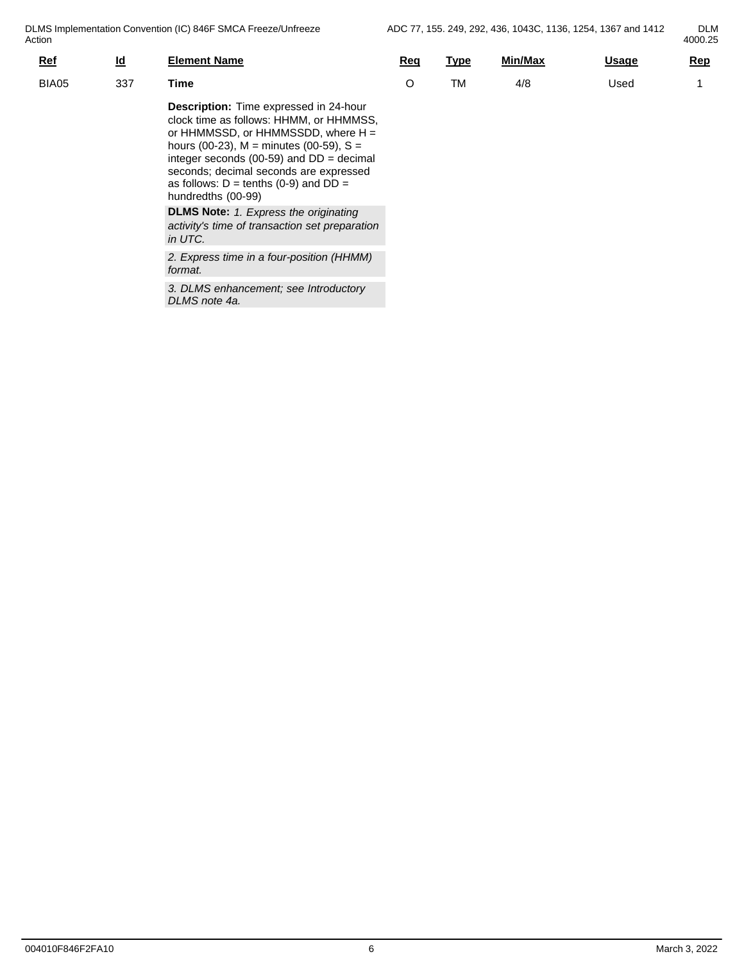DLMS Implementation Convention (IC) 846F SMCA Freeze/Unfreeze Action

4000.25

| ווטוו      |                           |                                                                                                                                                                                                                                                                         |     |      |         |              | HUUU.ZU    |
|------------|---------------------------|-------------------------------------------------------------------------------------------------------------------------------------------------------------------------------------------------------------------------------------------------------------------------|-----|------|---------|--------------|------------|
| <b>Ref</b> | $\underline{\mathsf{Id}}$ | <b>Element Name</b>                                                                                                                                                                                                                                                     | Reg | Type | Min/Max | <u>Usage</u> | <u>Rep</u> |
| BIA05      | 337                       | Time                                                                                                                                                                                                                                                                    |     | TM   | 4/8     | Used         |            |
|            |                           | <b>Description:</b> Time expressed in 24-hour<br>clock time as follows: HHMM, or HHMMSS,<br>or HHMMSSD, or HHMMSSDD, where $H =$<br>hours (00-23), $M =$ minutes (00-59), $S =$<br>integer seconds (00-59) and $DD =$ decimal<br>seconds; decimal seconds are expressed |     |      |         |              |            |

**DLMS Note:** *1. Express the originating activity's time of transaction set preparation in UTC.*

as follows:  $D = \text{tenths}$  (0-9) and  $DD =$ 

hundredths (00-99)

*2. Express time in a four-position (HHMM) format.*

*3. DLMS enhancement; see Introductory DLMS note 4a.*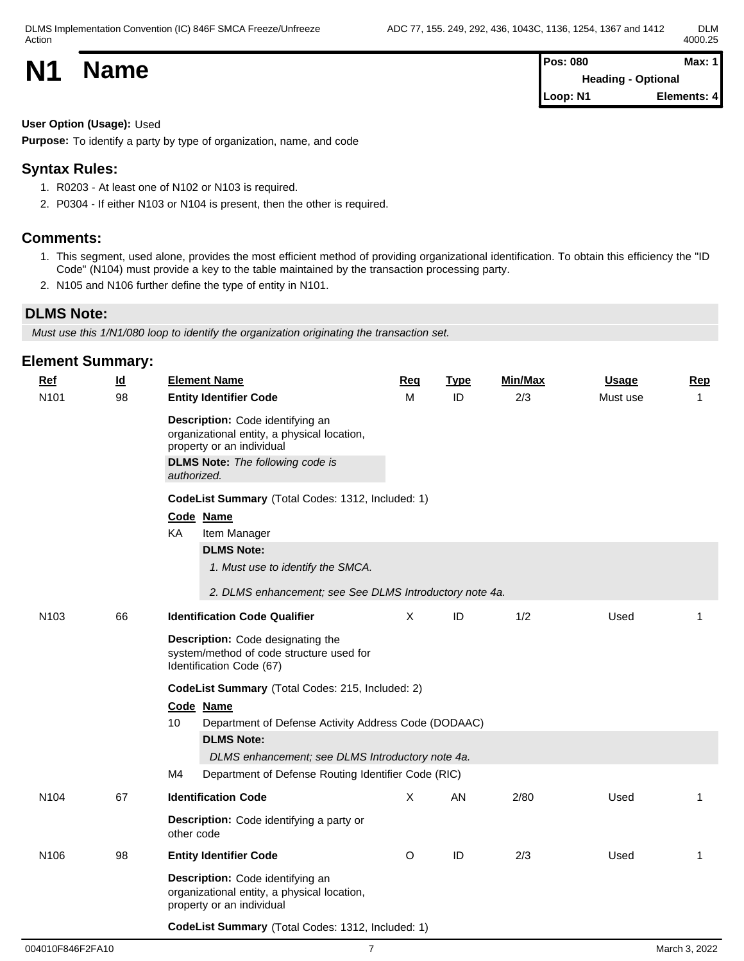| <b>N1</b> | <b>Name</b> | <b>Pos: 080</b><br><b>Heading - Optional</b> | Max: 1      |  |
|-----------|-------------|----------------------------------------------|-------------|--|
|           |             | Loop: N1                                     | Elements: 4 |  |

**User Option (Usage):** Used

**Purpose:** To identify a party by type of organization, name, and code

### **Syntax Rules:**

- 1. R0203 At least one of N102 or N103 is required.
- 2. P0304 If either N103 or N104 is present, then the other is required.

#### **Comments:**

- 1. This segment, used alone, provides the most efficient method of providing organizational identification. To obtain this efficiency the "ID Code" (N104) must provide a key to the table maintained by the transaction processing party.
- 2. N105 and N106 further define the type of entity in N101.

#### **DLMS Note:**

*Must use this 1/N1/080 loop to identify the organization originating the transaction set.*

| <b>Element Summary:</b> |                           |                                                                                                                                                                        |          |             |         |              |                |  |  |  |
|-------------------------|---------------------------|------------------------------------------------------------------------------------------------------------------------------------------------------------------------|----------|-------------|---------|--------------|----------------|--|--|--|
| <b>Ref</b>              | $\underline{\mathsf{Id}}$ | <b>Element Name</b>                                                                                                                                                    | Req      | <b>Type</b> | Min/Max | <b>Usage</b> | <b>Rep</b>     |  |  |  |
| N101                    | 98                        | <b>Entity Identifier Code</b>                                                                                                                                          | M        | ID          | 2/3     | Must use     | $\overline{1}$ |  |  |  |
|                         |                           | Description: Code identifying an<br>organizational entity, a physical location,<br>property or an individual<br><b>DLMS Note:</b> The following code is<br>authorized. |          |             |         |              |                |  |  |  |
|                         |                           | CodeList Summary (Total Codes: 1312, Included: 1)<br>Code Name<br>KA<br>Item Manager                                                                                   |          |             |         |              |                |  |  |  |
|                         |                           | <b>DLMS Note:</b><br>1. Must use to identify the SMCA.                                                                                                                 |          |             |         |              |                |  |  |  |
|                         |                           | 2. DLMS enhancement; see See DLMS Introductory note 4a.                                                                                                                |          |             |         |              |                |  |  |  |
| N <sub>103</sub>        | 66                        | <b>Identification Code Qualifier</b>                                                                                                                                   | $\times$ | ID          | 1/2     | Used         | -1             |  |  |  |
|                         |                           | Description: Code designating the<br>system/method of code structure used for<br>Identification Code (67)                                                              |          |             |         |              |                |  |  |  |
|                         |                           | CodeList Summary (Total Codes: 215, Included: 2)<br>Code Name<br>10<br>Department of Defense Activity Address Code (DODAAC)                                            |          |             |         |              |                |  |  |  |
|                         |                           | <b>DLMS Note:</b><br>DLMS enhancement; see DLMS Introductory note 4a.                                                                                                  |          |             |         |              |                |  |  |  |
|                         |                           | M4<br>Department of Defense Routing Identifier Code (RIC)                                                                                                              |          |             |         |              |                |  |  |  |
| N <sub>104</sub>        | 67                        | <b>Identification Code</b>                                                                                                                                             | X        | AN          | 2/80    | Used         | 1              |  |  |  |
|                         |                           | Description: Code identifying a party or<br>other code                                                                                                                 |          |             |         |              |                |  |  |  |
| N <sub>106</sub>        | 98                        | <b>Entity Identifier Code</b>                                                                                                                                          | $\circ$  | ID          | 2/3     | Used         | $\mathbf{1}$   |  |  |  |
|                         |                           | Description: Code identifying an<br>organizational entity, a physical location,<br>property or an individual                                                           |          |             |         |              |                |  |  |  |
|                         |                           | CodeList Summary (Total Codes: 1312, Included: 1)                                                                                                                      |          |             |         |              |                |  |  |  |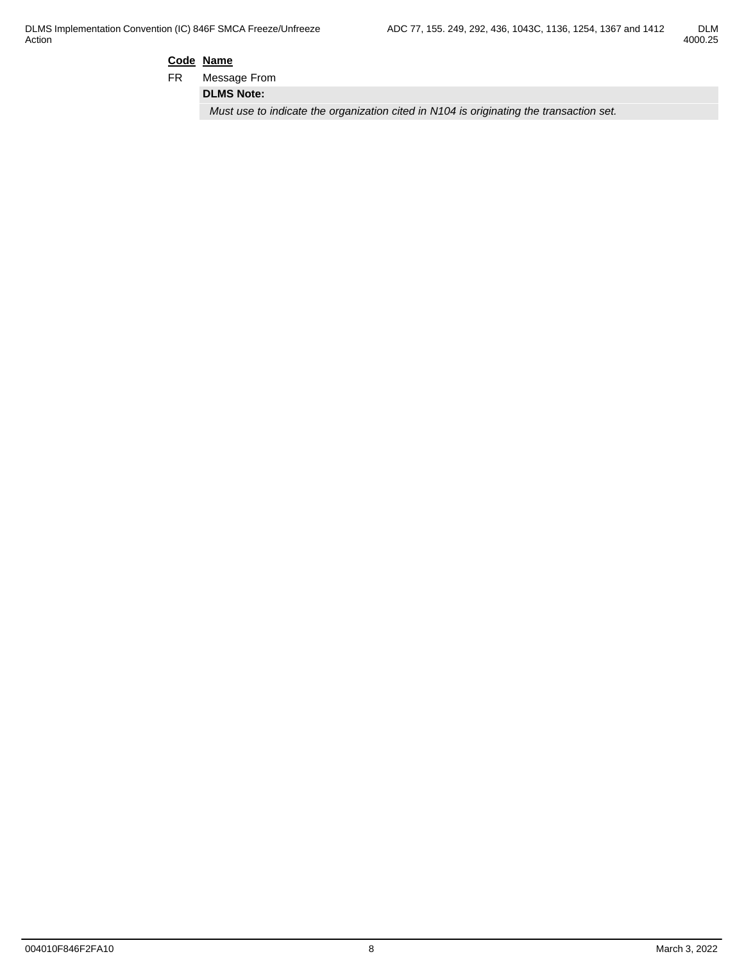#### **Code Name**

FR Message From

**DLMS Note:**

*Must use to indicate the organization cited in N104 is originating the transaction set.*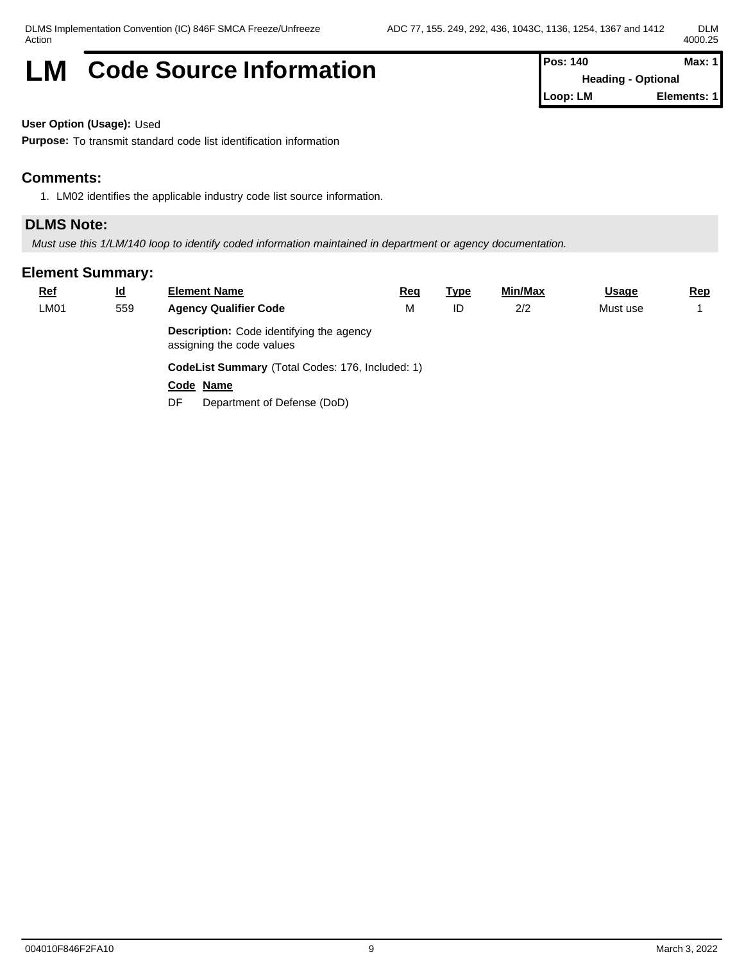# **LM** Code Source Information **Pos: 140 Max: 1 Max: 1**

**Heading - Optional Loop: LM Elements: 1**

**User Option (Usage):** Used

**Purpose:** To transmit standard code list identification information

#### **Comments:**

1. LM02 identifies the applicable industry code list source information.

#### **DLMS Note:**

*Must use this 1/LM/140 loop to identify coded information maintained in department or agency documentation.*

| <b>Ref</b> | $\underline{\mathsf{Id}}$ | <b>Element Name</b>                                                          | <u>Req</u> | <u>Type</u> | <u>Min/Max</u> | <b>Usage</b> | <u>Rep</u> |  |  |  |
|------------|---------------------------|------------------------------------------------------------------------------|------------|-------------|----------------|--------------|------------|--|--|--|
| LM01       | 559                       | <b>Agency Qualifier Code</b>                                                 | M          | ID          | 2/2            | Must use     |            |  |  |  |
|            |                           | <b>Description:</b> Code identifying the agency<br>assigning the code values |            |             |                |              |            |  |  |  |
|            |                           | CodeList Summary (Total Codes: 176, Included: 1)                             |            |             |                |              |            |  |  |  |
|            |                           | Code Name                                                                    |            |             |                |              |            |  |  |  |
|            |                           | Department of Defense (DoD)<br>DF                                            |            |             |                |              |            |  |  |  |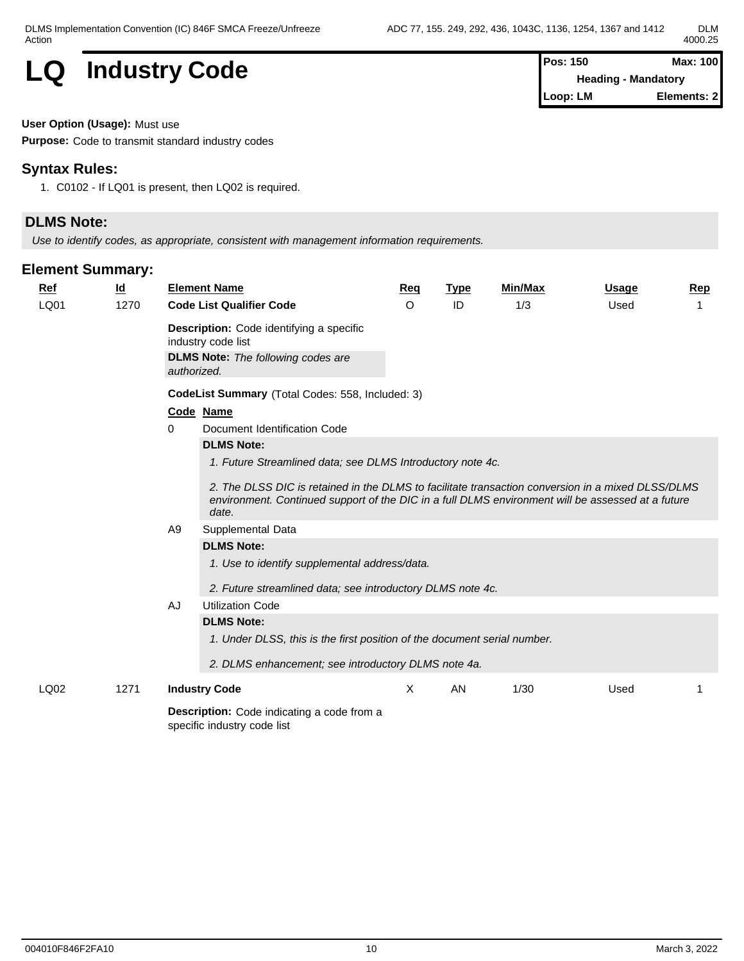# **LQ** Industry Code

| <b>Pos: 150</b> | Max: 100                   |
|-----------------|----------------------------|
|                 | <b>Heading - Mandatory</b> |
| Loop: LM        | Elements: 21               |

**User Option (Usage):** Must use

**Purpose:** Code to transmit standard industry codes

## **Syntax Rules:**

1. C0102 - If LQ01 is present, then LQ02 is required.

## **DLMS Note:**

*Use to identify codes, as appropriate, consistent with management information requirements.*

#### **Element Summary:**

| <b>Ref</b> | $\underline{\mathsf{Id}}$ | <b>Element Name</b>                                                                                                                                                                                                                                                           | <b>Req</b> | <b>Type</b> | <b>Min/Max</b> | <b>Usage</b> | <b>Rep</b> |  |  |  |  |  |  |
|------------|---------------------------|-------------------------------------------------------------------------------------------------------------------------------------------------------------------------------------------------------------------------------------------------------------------------------|------------|-------------|----------------|--------------|------------|--|--|--|--|--|--|
| LQ01       | 1270                      | <b>Code List Qualifier Code</b>                                                                                                                                                                                                                                               | $\circ$    | ID          | 1/3            | Used         |            |  |  |  |  |  |  |
|            |                           | <b>Description:</b> Code identifying a specific<br>industry code list<br><b>DLMS Note:</b> The following codes are<br>authorized.                                                                                                                                             |            |             |                |              |            |  |  |  |  |  |  |
|            |                           | CodeList Summary (Total Codes: 558, Included: 3)                                                                                                                                                                                                                              |            |             |                |              |            |  |  |  |  |  |  |
|            |                           | Code Name                                                                                                                                                                                                                                                                     |            |             |                |              |            |  |  |  |  |  |  |
|            |                           | Document Identification Code<br>0                                                                                                                                                                                                                                             |            |             |                |              |            |  |  |  |  |  |  |
|            |                           | <b>DLMS Note:</b>                                                                                                                                                                                                                                                             |            |             |                |              |            |  |  |  |  |  |  |
|            |                           | 1. Future Streamlined data; see DLMS Introductory note 4c.<br>2. The DLSS DIC is retained in the DLMS to facilitate transaction conversion in a mixed DLSS/DLMS<br>environment. Continued support of the DIC in a full DLMS environment will be assessed at a future<br>date. |            |             |                |              |            |  |  |  |  |  |  |
|            |                           | Supplemental Data<br>A9                                                                                                                                                                                                                                                       |            |             |                |              |            |  |  |  |  |  |  |
|            |                           | <b>DLMS Note:</b>                                                                                                                                                                                                                                                             |            |             |                |              |            |  |  |  |  |  |  |
|            |                           | 1. Use to identify supplemental address/data.<br>2. Future streamlined data; see introductory DLMS note 4c.                                                                                                                                                                   |            |             |                |              |            |  |  |  |  |  |  |
|            |                           | <b>Utilization Code</b><br>AJ                                                                                                                                                                                                                                                 |            |             |                |              |            |  |  |  |  |  |  |
|            |                           | <b>DLMS Note:</b>                                                                                                                                                                                                                                                             |            |             |                |              |            |  |  |  |  |  |  |
|            |                           | 1. Under DLSS, this is the first position of the document serial number.                                                                                                                                                                                                      |            |             |                |              |            |  |  |  |  |  |  |
|            |                           | 2. DLMS enhancement; see introductory DLMS note 4a.                                                                                                                                                                                                                           |            |             |                |              |            |  |  |  |  |  |  |
| LQ02       | 1271                      | <b>Industry Code</b>                                                                                                                                                                                                                                                          | X          | AN          | 1/30           | Used         |            |  |  |  |  |  |  |
|            |                           | <b>Description:</b> Code indicating a code from a                                                                                                                                                                                                                             |            |             |                |              |            |  |  |  |  |  |  |

specific industry code list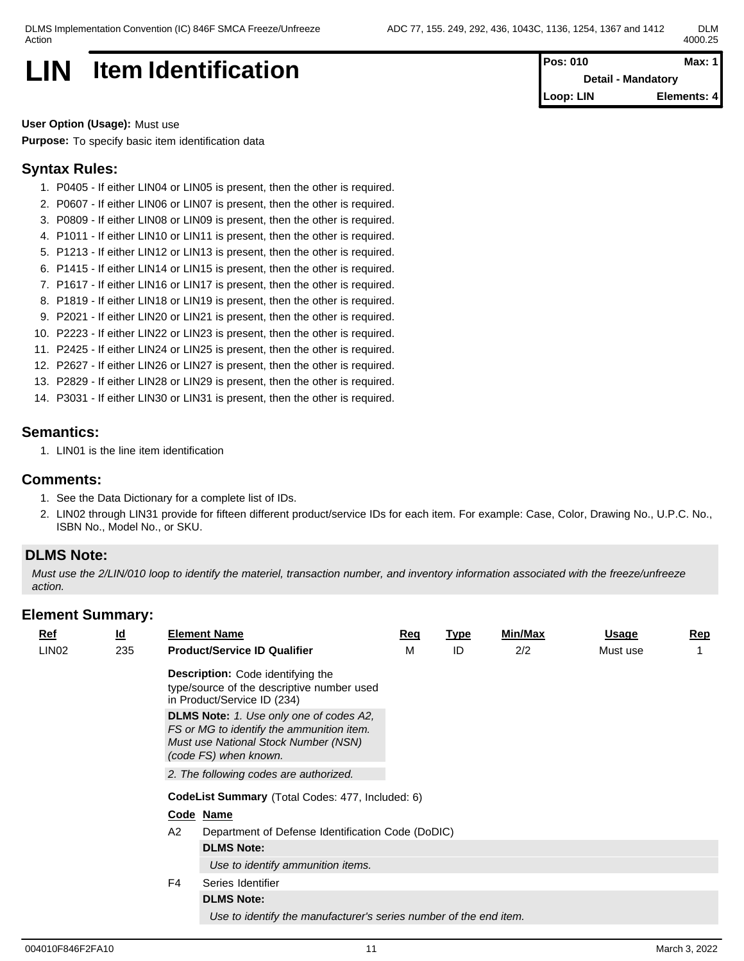# **LIN** Item Identification **Pos: 010 Max: 1 Pos: 010 Max: 1**

**Detail - Mandatory Loop: LIN Elements: 4**

**User Option (Usage):** Must use **Purpose:** To specify basic item identification data

### **Syntax Rules:**

- 1. P0405 If either LIN04 or LIN05 is present, then the other is required.
- 2. P0607 If either LIN06 or LIN07 is present, then the other is required.
- 3. P0809 If either LIN08 or LIN09 is present, then the other is required.
- 4. P1011 If either LIN10 or LIN11 is present, then the other is required.
- 5. P1213 If either LIN12 or LIN13 is present, then the other is required.
- 6. P1415 If either LIN14 or LIN15 is present, then the other is required.
- 7. P1617 If either LIN16 or LIN17 is present, then the other is required.
- 8. P1819 If either LIN18 or LIN19 is present, then the other is required.
- 9. P2021 If either LIN20 or LIN21 is present, then the other is required.
- 10. P2223 If either LIN22 or LIN23 is present, then the other is required.
- 11. P2425 If either LIN24 or LIN25 is present, then the other is required.
- 12. P2627 If either LIN26 or LIN27 is present, then the other is required.
- 13. P2829 If either LIN28 or LIN29 is present, then the other is required.
- 14. P3031 If either LIN30 or LIN31 is present, then the other is required.

#### **Semantics:**

1. LIN01 is the line item identification

#### **Comments:**

- 1. See the Data Dictionary for a complete list of IDs.
- 2. LIN02 through LIN31 provide for fifteen different product/service IDs for each item. For example: Case, Color, Drawing No., U.P.C. No., ISBN No., Model No., or SKU.

#### **DLMS Note:**

*Must use the 2/LIN/010 loop to identify the materiel, transaction number, and inventory information associated with the freeze/unfreeze action.*

| $\underline{\mathsf{Id}}$ |                |                                        | Req                                                                                                                                                                                                                                                                                                                                                       | <u>Type</u>                                      | Min/Max                                           | <b>Usage</b>                                                      | Rep |  |
|---------------------------|----------------|----------------------------------------|-----------------------------------------------------------------------------------------------------------------------------------------------------------------------------------------------------------------------------------------------------------------------------------------------------------------------------------------------------------|--------------------------------------------------|---------------------------------------------------|-------------------------------------------------------------------|-----|--|
| 235                       |                |                                        | M                                                                                                                                                                                                                                                                                                                                                         | ID                                               | 2/2                                               | Must use                                                          |     |  |
|                           |                |                                        |                                                                                                                                                                                                                                                                                                                                                           |                                                  |                                                   |                                                                   |     |  |
|                           |                |                                        |                                                                                                                                                                                                                                                                                                                                                           |                                                  |                                                   |                                                                   |     |  |
|                           |                | 2. The following codes are authorized. |                                                                                                                                                                                                                                                                                                                                                           |                                                  |                                                   |                                                                   |     |  |
|                           |                |                                        |                                                                                                                                                                                                                                                                                                                                                           |                                                  |                                                   |                                                                   |     |  |
|                           |                |                                        |                                                                                                                                                                                                                                                                                                                                                           |                                                  |                                                   |                                                                   |     |  |
|                           | A2             |                                        |                                                                                                                                                                                                                                                                                                                                                           |                                                  |                                                   |                                                                   |     |  |
|                           |                | <b>DLMS Note:</b>                      |                                                                                                                                                                                                                                                                                                                                                           |                                                  |                                                   |                                                                   |     |  |
|                           |                | Use to identify ammunition items.      |                                                                                                                                                                                                                                                                                                                                                           |                                                  |                                                   |                                                                   |     |  |
|                           | F <sub>4</sub> | Series Identifier                      |                                                                                                                                                                                                                                                                                                                                                           |                                                  |                                                   |                                                                   |     |  |
|                           |                | <b>DLMS Note:</b>                      |                                                                                                                                                                                                                                                                                                                                                           |                                                  |                                                   |                                                                   |     |  |
|                           |                |                                        |                                                                                                                                                                                                                                                                                                                                                           |                                                  |                                                   |                                                                   |     |  |
|                           |                |                                        | <b>Element Name</b><br><b>Product/Service ID Qualifier</b><br><b>Description:</b> Code identifying the<br>type/source of the descriptive number used<br>in Product/Service ID (234)<br>DLMS Note: 1. Use only one of codes A2,<br>FS or MG to identify the ammunition item.<br>Must use National Stock Number (NSN)<br>(code FS) when known.<br>Code Name | CodeList Summary (Total Codes: 477, Included: 6) | Department of Defense Identification Code (DoDIC) | Use to identify the manufacturer's series number of the end item. |     |  |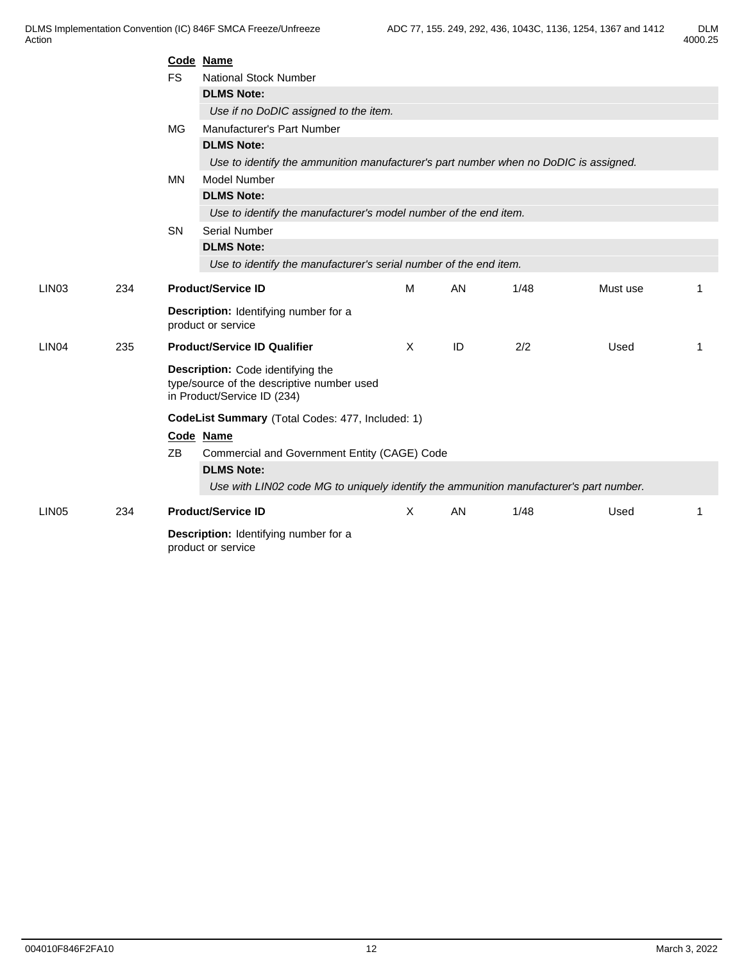|                   |     | Code Name                                        |                                                                                                                |          |    |      |          |    |  |  |  |
|-------------------|-----|--------------------------------------------------|----------------------------------------------------------------------------------------------------------------|----------|----|------|----------|----|--|--|--|
|                   |     | <b>FS</b>                                        | <b>National Stock Number</b>                                                                                   |          |    |      |          |    |  |  |  |
|                   |     |                                                  | <b>DLMS Note:</b>                                                                                              |          |    |      |          |    |  |  |  |
|                   |     |                                                  | Use if no DoDIC assigned to the item.                                                                          |          |    |      |          |    |  |  |  |
|                   |     | <b>MG</b>                                        | Manufacturer's Part Number                                                                                     |          |    |      |          |    |  |  |  |
|                   |     |                                                  | <b>DLMS Note:</b>                                                                                              |          |    |      |          |    |  |  |  |
|                   |     |                                                  | Use to identify the ammunition manufacturer's part number when no DoDIC is assigned.                           |          |    |      |          |    |  |  |  |
|                   |     | <b>MN</b>                                        | <b>Model Number</b>                                                                                            |          |    |      |          |    |  |  |  |
|                   |     |                                                  | <b>DLMS Note:</b>                                                                                              |          |    |      |          |    |  |  |  |
|                   |     |                                                  | Use to identify the manufacturer's model number of the end item.                                               |          |    |      |          |    |  |  |  |
|                   |     | <b>SN</b>                                        | <b>Serial Number</b>                                                                                           |          |    |      |          |    |  |  |  |
|                   |     |                                                  | <b>DLMS Note:</b>                                                                                              |          |    |      |          |    |  |  |  |
|                   |     |                                                  | Use to identify the manufacturer's serial number of the end item.                                              |          |    |      |          |    |  |  |  |
| LIN <sub>03</sub> | 234 | <b>Product/Service ID</b>                        |                                                                                                                | M        | AN | 1/48 | Must use |    |  |  |  |
|                   |     |                                                  | Description: Identifying number for a<br>product or service                                                    |          |    |      |          |    |  |  |  |
| LIN <sub>04</sub> | 235 |                                                  | <b>Product/Service ID Qualifier</b>                                                                            | $\times$ | ID | 2/2  | Used     | -1 |  |  |  |
|                   |     |                                                  | Description: Code identifying the<br>type/source of the descriptive number used<br>in Product/Service ID (234) |          |    |      |          |    |  |  |  |
|                   |     | CodeList Summary (Total Codes: 477, Included: 1) |                                                                                                                |          |    |      |          |    |  |  |  |
|                   |     |                                                  | Code Name                                                                                                      |          |    |      |          |    |  |  |  |
|                   |     | ZB                                               | Commercial and Government Entity (CAGE) Code                                                                   |          |    |      |          |    |  |  |  |
|                   |     |                                                  | <b>DLMS Note:</b>                                                                                              |          |    |      |          |    |  |  |  |
|                   |     |                                                  | Use with LIN02 code MG to uniquely identify the ammunition manufacturer's part number.                         |          |    |      |          |    |  |  |  |
| LIN <sub>05</sub> | 234 |                                                  | <b>Product/Service ID</b>                                                                                      | X        | AN | 1/48 | Used     | -1 |  |  |  |
|                   |     |                                                  | Description: Identifying number for a<br>product or service                                                    |          |    |      |          |    |  |  |  |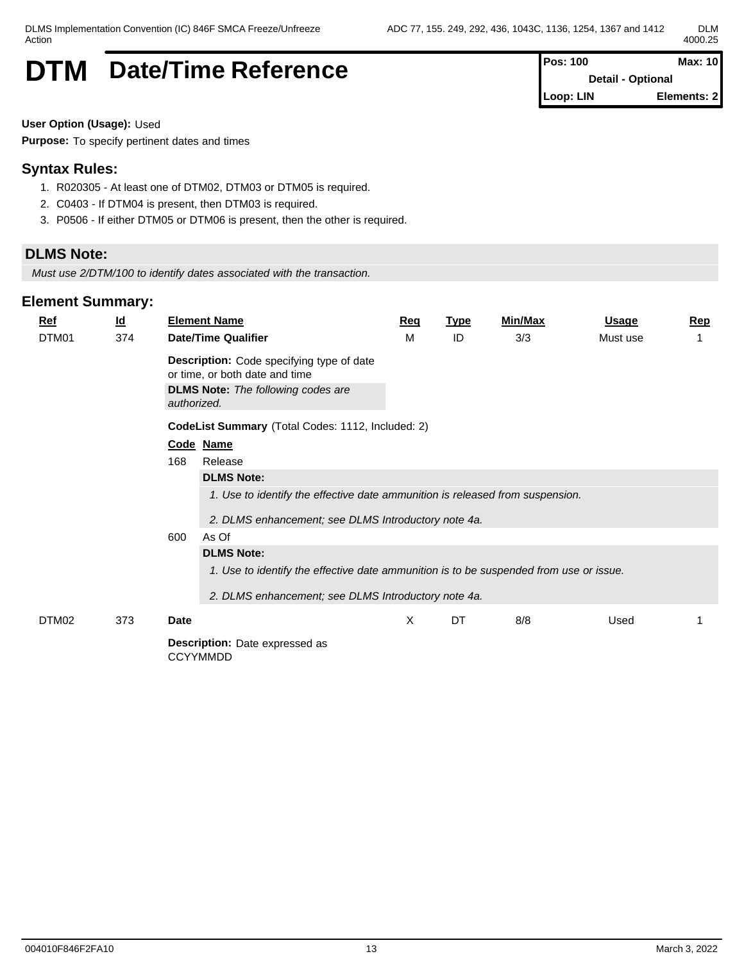# **DTM** Date/Time Reference **Pos: 100** Max: 10

**Detail - Optional Loop: LIN Elements: 2**

**User Option (Usage):** Used

**Purpose:** To specify pertinent dates and times

### **Syntax Rules:**

- 1. R020305 At least one of DTM02, DTM03 or DTM05 is required.
- 2. C0403 If DTM04 is present, then DTM03 is required.
- 3. P0506 If either DTM05 or DTM06 is present, then the other is required.

### **DLMS Note:**

*Must use 2/DTM/100 to identify dates associated with the transaction.*

| $Ref$ | $\underline{\mathsf{Id}}$ |                                                   | <b>Element Name</b>                                                                                                                                                                     | Req | <b>Type</b> | <b>Min/Max</b> | <u>Usage</u> | Rep |  |  |
|-------|---------------------------|---------------------------------------------------|-----------------------------------------------------------------------------------------------------------------------------------------------------------------------------------------|-----|-------------|----------------|--------------|-----|--|--|
| DTM01 | 374                       |                                                   | <b>Date/Time Qualifier</b>                                                                                                                                                              | м   | ID          | 3/3            | Must use     |     |  |  |
|       |                           |                                                   | <b>Description:</b> Code specifying type of date<br>or time, or both date and time                                                                                                      |     |             |                |              |     |  |  |
|       |                           | authorized.                                       | <b>DLMS Note:</b> The following codes are                                                                                                                                               |     |             |                |              |     |  |  |
|       |                           | CodeList Summary (Total Codes: 1112, Included: 2) |                                                                                                                                                                                         |     |             |                |              |     |  |  |
|       |                           |                                                   | Code Name                                                                                                                                                                               |     |             |                |              |     |  |  |
|       |                           | 168                                               | Release                                                                                                                                                                                 |     |             |                |              |     |  |  |
|       |                           | 600                                               | <b>DLMS Note:</b><br>1. Use to identify the effective date ammunition is released from suspension.<br>2. DLMS enhancement; see DLMS Introductory note 4a.<br>As Of<br><b>DLMS Note:</b> |     |             |                |              |     |  |  |
|       |                           |                                                   | 1. Use to identify the effective date ammunition is to be suspended from use or issue.                                                                                                  |     |             |                |              |     |  |  |
|       |                           |                                                   | 2. DLMS enhancement; see DLMS Introductory note 4a.                                                                                                                                     |     |             |                |              |     |  |  |
| DTM02 | 373                       | Date                                              |                                                                                                                                                                                         | X   | DT          | 8/8            | Used         |     |  |  |
|       |                           |                                                   | <b>Description:</b> Date expressed as<br><b>CCYYMMDD</b>                                                                                                                                |     |             |                |              |     |  |  |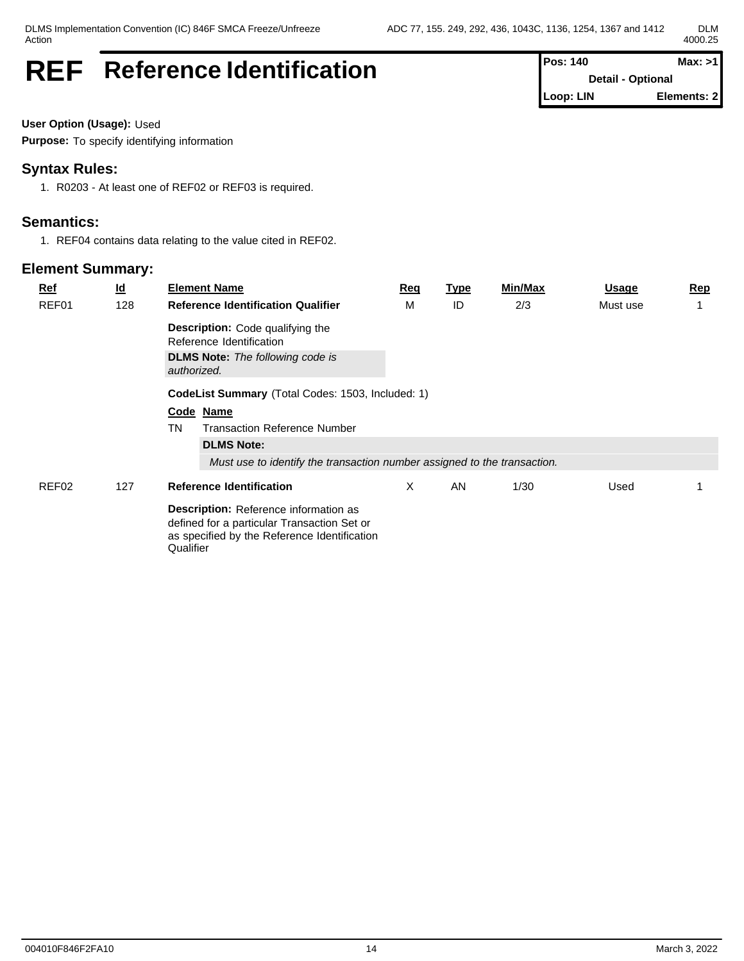# **REF** Reference Identification **Pos:** 140 **Pos:** 140 **Max:** >1

**Detail - Optional Loop: LIN Elements: 2**

**User Option (Usage):** Used

**Purpose:** To specify identifying information

### **Syntax Rules:**

1. R0203 - At least one of REF02 or REF03 is required.

### **Semantics:**

1. REF04 contains data relating to the value cited in REF02.

| $Ref$ | $\underline{\mathsf{Id}}$ | <b>Element Name</b>                                                                                                                                      | Req | <b>Type</b> | Min/Max | <b>Usage</b> | <b>Rep</b> |  |  |  |  |  |
|-------|---------------------------|----------------------------------------------------------------------------------------------------------------------------------------------------------|-----|-------------|---------|--------------|------------|--|--|--|--|--|
| REF01 | 128                       | <b>Reference Identification Qualifier</b>                                                                                                                | м   | ID          | 2/3     | Must use     |            |  |  |  |  |  |
|       |                           | <b>Description:</b> Code qualifying the<br>Reference Identification                                                                                      |     |             |         |              |            |  |  |  |  |  |
|       |                           | <b>DLMS Note:</b> The following code is<br>authorized.                                                                                                   |     |             |         |              |            |  |  |  |  |  |
|       |                           | CodeList Summary (Total Codes: 1503, Included: 1)                                                                                                        |     |             |         |              |            |  |  |  |  |  |
|       |                           | Code Name                                                                                                                                                |     |             |         |              |            |  |  |  |  |  |
|       |                           | TN<br><b>Transaction Reference Number</b>                                                                                                                |     |             |         |              |            |  |  |  |  |  |
|       |                           | <b>DLMS Note:</b>                                                                                                                                        |     |             |         |              |            |  |  |  |  |  |
|       |                           | Must use to identify the transaction number assigned to the transaction.                                                                                 |     |             |         |              |            |  |  |  |  |  |
| REF02 | 127                       | <b>Reference Identification</b>                                                                                                                          | X   | AN          | 1/30    | Used         |            |  |  |  |  |  |
|       |                           | <b>Description:</b> Reference information as<br>defined for a particular Transaction Set or<br>as specified by the Reference Identification<br>Qualifier |     |             |         |              |            |  |  |  |  |  |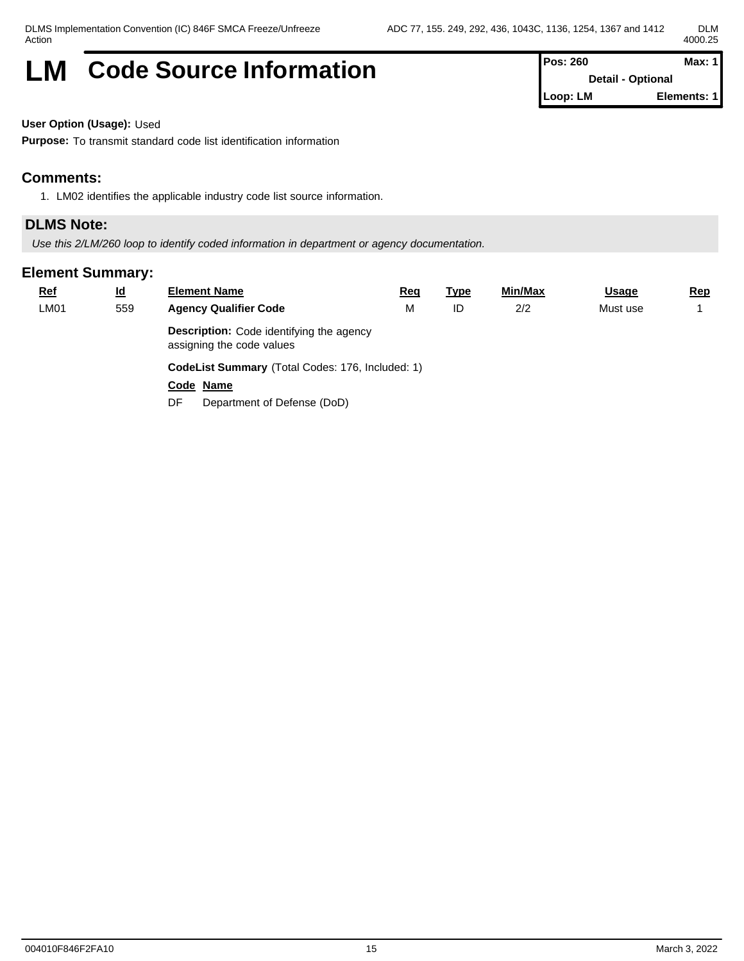# **LM** Code Source Information **Pos: 260 Max: 1 Max: 1**

**Detail - Optional Loop: LM Elements: 1**

**User Option (Usage):** Used

**Purpose:** To transmit standard code list identification information

#### **Comments:**

1. LM02 identifies the applicable industry code list source information.

#### **DLMS Note:**

*Use this 2/LM/260 loop to identify coded information in department or agency documentation.*

| <b>Ref</b> | <u>ld</u> | <b>Element Name</b>                                                          | <u>Req</u> | <u>Type</u> | <u>Min/Max</u> | <b>Usage</b> | <u>Rep</u> |  |  |  |
|------------|-----------|------------------------------------------------------------------------------|------------|-------------|----------------|--------------|------------|--|--|--|
| LM01       | 559       | <b>Agency Qualifier Code</b>                                                 | M          | ID          | 2/2            | Must use     |            |  |  |  |
|            |           | <b>Description:</b> Code identifying the agency<br>assigning the code values |            |             |                |              |            |  |  |  |
|            |           | CodeList Summary (Total Codes: 176, Included: 1)                             |            |             |                |              |            |  |  |  |
|            |           | Code Name                                                                    |            |             |                |              |            |  |  |  |
|            |           | Department of Defense (DoD)<br>DF.                                           |            |             |                |              |            |  |  |  |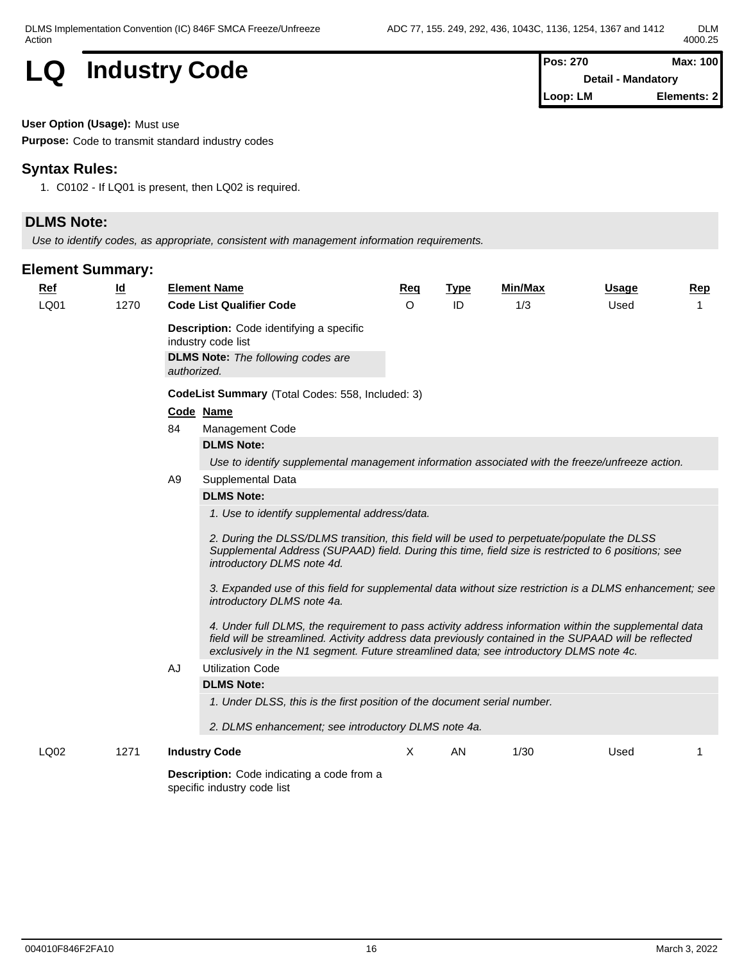

**Detail - Mandatory Loop: LM Elements: 2**

**User Option (Usage):** Must use

**Purpose:** Code to transmit standard industry codes

#### **Syntax Rules:**

1. C0102 - If LQ01 is present, then LQ02 is required.

### **DLMS Note:**

*Use to identify codes, as appropriate, consistent with management information requirements.*

| <b>Ref</b> | $\underline{\mathsf{Id}}$ |                | <b>Element Name</b>                                                                                                                                                                                                                                                                                      | Req      | <b>Type</b> | Min/Max | <b>Usage</b> | Rep |  |  |
|------------|---------------------------|----------------|----------------------------------------------------------------------------------------------------------------------------------------------------------------------------------------------------------------------------------------------------------------------------------------------------------|----------|-------------|---------|--------------|-----|--|--|
| LQ01       | 1270                      |                | <b>Code List Qualifier Code</b>                                                                                                                                                                                                                                                                          | $\Omega$ | ID          | 1/3     | Used         |     |  |  |
|            |                           |                | <b>Description:</b> Code identifying a specific<br>industry code list<br><b>DLMS Note:</b> The following codes are                                                                                                                                                                                       |          |             |         |              |     |  |  |
|            |                           |                | authorized.                                                                                                                                                                                                                                                                                              |          |             |         |              |     |  |  |
|            |                           |                | CodeList Summary (Total Codes: 558, Included: 3)                                                                                                                                                                                                                                                         |          |             |         |              |     |  |  |
|            |                           |                | Code Name                                                                                                                                                                                                                                                                                                |          |             |         |              |     |  |  |
|            |                           | 84             | Management Code                                                                                                                                                                                                                                                                                          |          |             |         |              |     |  |  |
|            |                           |                | <b>DLMS Note:</b>                                                                                                                                                                                                                                                                                        |          |             |         |              |     |  |  |
|            |                           |                | Use to identify supplemental management information associated with the freeze/unfreeze action.                                                                                                                                                                                                          |          |             |         |              |     |  |  |
|            |                           | A <sub>9</sub> | Supplemental Data                                                                                                                                                                                                                                                                                        |          |             |         |              |     |  |  |
|            |                           |                | <b>DLMS Note:</b>                                                                                                                                                                                                                                                                                        |          |             |         |              |     |  |  |
|            |                           |                | 1. Use to identify supplemental address/data.                                                                                                                                                                                                                                                            |          |             |         |              |     |  |  |
|            |                           |                | 2. During the DLSS/DLMS transition, this field will be used to perpetuate/populate the DLSS<br>Supplemental Address (SUPAAD) field. During this time, field size is restricted to 6 positions; see<br>introductory DLMS note 4d.                                                                         |          |             |         |              |     |  |  |
|            |                           |                | 3. Expanded use of this field for supplemental data without size restriction is a DLMS enhancement; see<br>introductory DLMS note 4a.                                                                                                                                                                    |          |             |         |              |     |  |  |
|            |                           |                | 4. Under full DLMS, the requirement to pass activity address information within the supplemental data<br>field will be streamlined. Activity address data previously contained in the SUPAAD will be reflected<br>exclusively in the N1 segment. Future streamlined data; see introductory DLMS note 4c. |          |             |         |              |     |  |  |
|            |                           | AJ             | <b>Utilization Code</b>                                                                                                                                                                                                                                                                                  |          |             |         |              |     |  |  |
|            |                           |                | <b>DLMS Note:</b>                                                                                                                                                                                                                                                                                        |          |             |         |              |     |  |  |
|            |                           |                | 1. Under DLSS, this is the first position of the document serial number.                                                                                                                                                                                                                                 |          |             |         |              |     |  |  |
|            |                           |                | 2. DLMS enhancement; see introductory DLMS note 4a.                                                                                                                                                                                                                                                      |          |             |         |              |     |  |  |
|            |                           |                |                                                                                                                                                                                                                                                                                                          |          |             |         |              |     |  |  |
| LQ02       | 1271                      |                | <b>Industry Code</b>                                                                                                                                                                                                                                                                                     | X        | AN          | 1/30    | Used         |     |  |  |
|            |                           |                | Description: Code indicating a code from a<br>specific industry code list                                                                                                                                                                                                                                |          |             |         |              |     |  |  |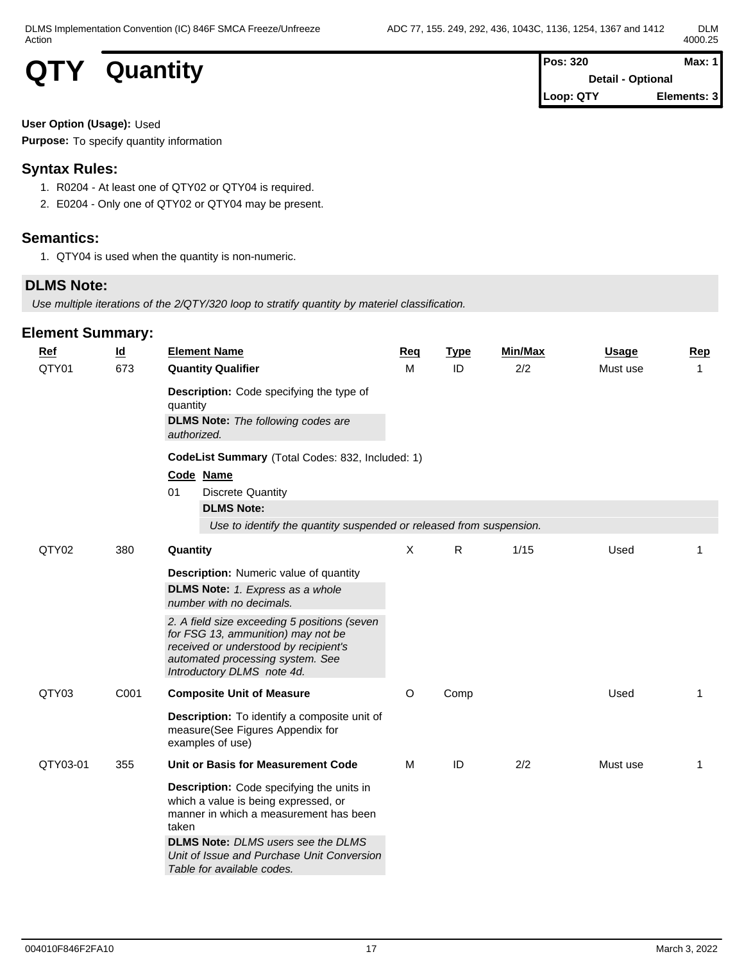# **QTY** Quantity **Posts Posts Posts**

| Pos: 320  | Max: $1$                 |
|-----------|--------------------------|
|           | <b>Detail - Optional</b> |
| Loop: QTY | Elements: 3              |

**User Option (Usage):** Used

**Purpose:** To specify quantity information

### **Syntax Rules:**

- 1. R0204 At least one of QTY02 or QTY04 is required.
- 2. E0204 Only one of QTY02 or QTY04 may be present.

#### **Semantics:**

1. QTY04 is used when the quantity is non-numeric.

### **DLMS Note:**

*Use multiple iterations of the 2/QTY/320 loop to stratify quantity by materiel classification.*

| Ref      | $\underline{\mathsf{Id}}$ | <b>Element Name</b>                                                                                                                                                                                                                                                                                                   | <b>Req</b> | <b>Type</b> | Min/Max | <b>Usage</b> | Rep |  |  |  |  |  |  |
|----------|---------------------------|-----------------------------------------------------------------------------------------------------------------------------------------------------------------------------------------------------------------------------------------------------------------------------------------------------------------------|------------|-------------|---------|--------------|-----|--|--|--|--|--|--|
| QTY01    | 673                       | <b>Quantity Qualifier</b><br>Description: Code specifying the type of<br>quantity<br><b>DLMS Note:</b> The following codes are<br>authorized.                                                                                                                                                                         | M          | ID          | 2/2     | Must use     | 1   |  |  |  |  |  |  |
|          |                           | CodeList Summary (Total Codes: 832, Included: 1)<br>Code Name<br><b>Discrete Quantity</b><br>01                                                                                                                                                                                                                       |            |             |         |              |     |  |  |  |  |  |  |
|          |                           | <b>DLMS Note:</b><br>Use to identify the quantity suspended or released from suspension.                                                                                                                                                                                                                              |            |             |         |              |     |  |  |  |  |  |  |
| QTY02    | 380                       | Quantity                                                                                                                                                                                                                                                                                                              | X          | R           | 1/15    | Used         | 1   |  |  |  |  |  |  |
|          |                           | <b>Description:</b> Numeric value of quantity<br><b>DLMS Note:</b> 1. Express as a whole<br>number with no decimals.<br>2. A field size exceeding 5 positions (seven<br>for FSG 13, ammunition) may not be<br>received or understood by recipient's<br>automated processing system. See<br>Introductory DLMS note 4d. |            |             |         |              |     |  |  |  |  |  |  |
| QTY03    | C001                      | <b>Composite Unit of Measure</b>                                                                                                                                                                                                                                                                                      | O          | Comp        |         | Used         | 1   |  |  |  |  |  |  |
|          |                           | Description: To identify a composite unit of<br>measure(See Figures Appendix for<br>examples of use)                                                                                                                                                                                                                  |            |             |         |              |     |  |  |  |  |  |  |
| QTY03-01 | 355                       | Unit or Basis for Measurement Code                                                                                                                                                                                                                                                                                    | M          | ID          | 2/2     | Must use     | 1   |  |  |  |  |  |  |
|          |                           | Description: Code specifying the units in<br>which a value is being expressed, or<br>manner in which a measurement has been<br>taken<br><b>DLMS Note:</b> DLMS users see the DLMS<br>Unit of Issue and Purchase Unit Conversion<br>Table for available codes.                                                         |            |             |         |              |     |  |  |  |  |  |  |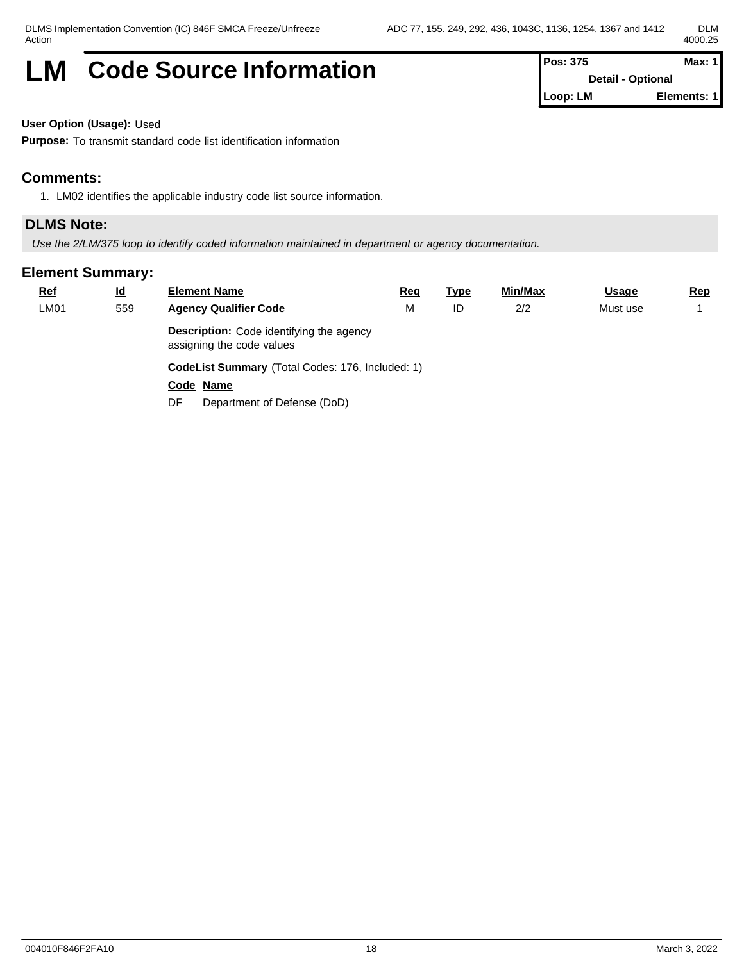# **LM** Code Source Information **Pos:** 375 **Max:** 1

**Detail - Optional Loop: LM Elements: 1**

**User Option (Usage):** Used

**Purpose:** To transmit standard code list identification information

#### **Comments:**

1. LM02 identifies the applicable industry code list source information.

#### **DLMS Note:**

*Use the 2/LM/375 loop to identify coded information maintained in department or agency documentation.*

| <b>Ref</b> | <u>ld</u> | <b>Element Name</b>                                                          | <u>Req</u> | <u>Type</u> | <u>Min/Max</u> | <b>Usage</b> | <u>Rep</u> |  |  |  |
|------------|-----------|------------------------------------------------------------------------------|------------|-------------|----------------|--------------|------------|--|--|--|
| LM01       | 559       | <b>Agency Qualifier Code</b>                                                 | M          | ID          | 2/2            | Must use     |            |  |  |  |
|            |           | <b>Description:</b> Code identifying the agency<br>assigning the code values |            |             |                |              |            |  |  |  |
|            |           | CodeList Summary (Total Codes: 176, Included: 1)                             |            |             |                |              |            |  |  |  |
|            |           | Code Name                                                                    |            |             |                |              |            |  |  |  |
|            |           | Department of Defense (DoD)<br>DF                                            |            |             |                |              |            |  |  |  |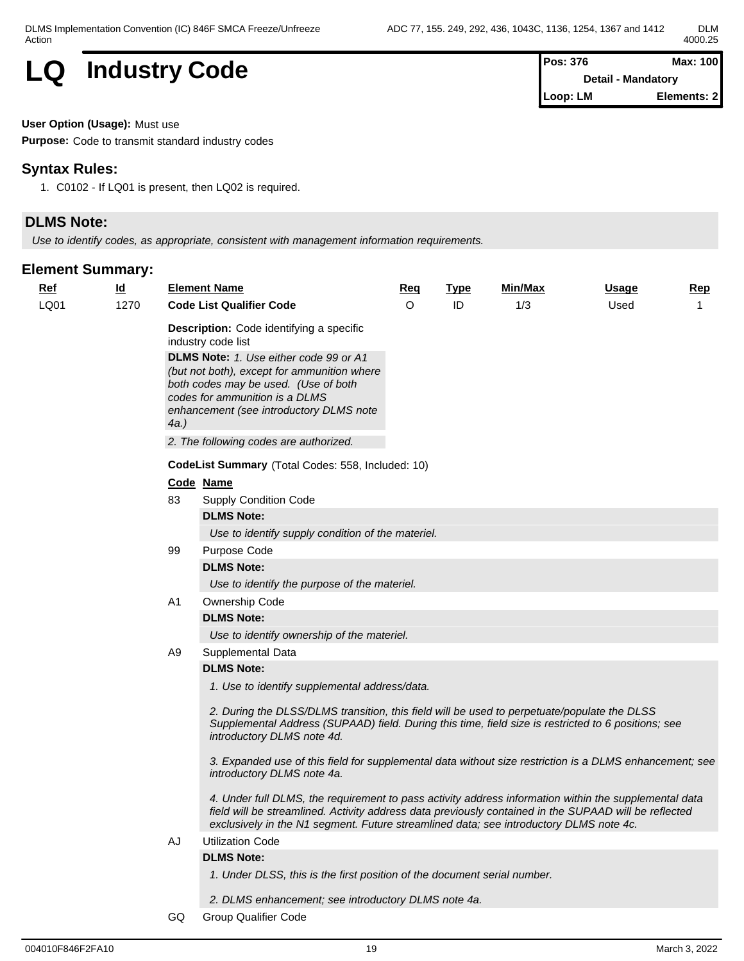

| $Pos: 376$                | Max: 100    |  |
|---------------------------|-------------|--|
| <b>Detail - Mandatory</b> |             |  |
| Loop: LM                  | Elements: 2 |  |

**User Option (Usage):** Must use

**Purpose:** Code to transmit standard industry codes

#### **Syntax Rules:**

1. C0102 - If LQ01 is present, then LQ02 is required.

## **DLMS Note:**

*Use to identify codes, as appropriate, consistent with management information requirements.*

#### **Element Summary:**

| <u>Ref</u> | $\underline{\mathsf{Id}}$ |     | <b>Element Name</b>                                                                                                                                                                                                                                                                                      | <u>Req</u> | <b>Type</b> | Min/Max | Usage | <b>Rep</b>     |
|------------|---------------------------|-----|----------------------------------------------------------------------------------------------------------------------------------------------------------------------------------------------------------------------------------------------------------------------------------------------------------|------------|-------------|---------|-------|----------------|
| LQ01       | 1270                      |     | <b>Code List Qualifier Code</b>                                                                                                                                                                                                                                                                          | $\Omega$   | ID          | 1/3     | Used  | $\overline{1}$ |
|            |                           |     | <b>Description:</b> Code identifying a specific<br>industry code list                                                                                                                                                                                                                                    |            |             |         |       |                |
|            |                           |     | <b>DLMS Note:</b> 1. Use either code 99 or A1                                                                                                                                                                                                                                                            |            |             |         |       |                |
|            |                           |     | (but not both), except for ammunition where                                                                                                                                                                                                                                                              |            |             |         |       |                |
|            |                           |     | both codes may be used. (Use of both<br>codes for ammunition is a DLMS                                                                                                                                                                                                                                   |            |             |         |       |                |
|            |                           |     | enhancement (see introductory DLMS note                                                                                                                                                                                                                                                                  |            |             |         |       |                |
|            |                           | 4a. |                                                                                                                                                                                                                                                                                                          |            |             |         |       |                |
|            |                           |     | 2. The following codes are authorized.                                                                                                                                                                                                                                                                   |            |             |         |       |                |
|            |                           |     | CodeList Summary (Total Codes: 558, Included: 10)                                                                                                                                                                                                                                                        |            |             |         |       |                |
|            |                           |     | Code Name                                                                                                                                                                                                                                                                                                |            |             |         |       |                |
|            |                           | 83  | <b>Supply Condition Code</b>                                                                                                                                                                                                                                                                             |            |             |         |       |                |
|            |                           |     | <b>DLMS Note:</b>                                                                                                                                                                                                                                                                                        |            |             |         |       |                |
|            |                           |     | Use to identify supply condition of the materiel.                                                                                                                                                                                                                                                        |            |             |         |       |                |
|            |                           | 99  | Purpose Code                                                                                                                                                                                                                                                                                             |            |             |         |       |                |
|            |                           |     | <b>DLMS Note:</b>                                                                                                                                                                                                                                                                                        |            |             |         |       |                |
|            |                           |     | Use to identify the purpose of the materiel.                                                                                                                                                                                                                                                             |            |             |         |       |                |
|            |                           | A1  | <b>Ownership Code</b>                                                                                                                                                                                                                                                                                    |            |             |         |       |                |
|            |                           |     | <b>DLMS Note:</b>                                                                                                                                                                                                                                                                                        |            |             |         |       |                |
|            |                           |     | Use to identify ownership of the materiel.                                                                                                                                                                                                                                                               |            |             |         |       |                |
|            |                           | A9  | Supplemental Data                                                                                                                                                                                                                                                                                        |            |             |         |       |                |
|            |                           |     | <b>DLMS Note:</b>                                                                                                                                                                                                                                                                                        |            |             |         |       |                |
|            |                           |     | 1. Use to identify supplemental address/data.                                                                                                                                                                                                                                                            |            |             |         |       |                |
|            |                           |     | 2. During the DLSS/DLMS transition, this field will be used to perpetuate/populate the DLSS<br>Supplemental Address (SUPAAD) field. During this time, field size is restricted to 6 positions; see<br>introductory DLMS note 4d.                                                                         |            |             |         |       |                |
|            |                           |     | 3. Expanded use of this field for supplemental data without size restriction is a DLMS enhancement; see<br>introductory DLMS note 4a.                                                                                                                                                                    |            |             |         |       |                |
|            |                           |     | 4. Under full DLMS, the requirement to pass activity address information within the supplemental data<br>field will be streamlined. Activity address data previously contained in the SUPAAD will be reflected<br>exclusively in the N1 segment. Future streamlined data; see introductory DLMS note 4c. |            |             |         |       |                |
|            |                           | AJ  | <b>Utilization Code</b>                                                                                                                                                                                                                                                                                  |            |             |         |       |                |
|            |                           |     | <b>DLMS Note:</b>                                                                                                                                                                                                                                                                                        |            |             |         |       |                |
|            |                           |     | 1. Under DLSS, this is the first position of the document serial number.                                                                                                                                                                                                                                 |            |             |         |       |                |
|            |                           |     | 2. DLMS enhancement; see introductory DLMS note 4a.                                                                                                                                                                                                                                                      |            |             |         |       |                |
|            |                           |     |                                                                                                                                                                                                                                                                                                          |            |             |         |       |                |

GQ Group Qualifier Code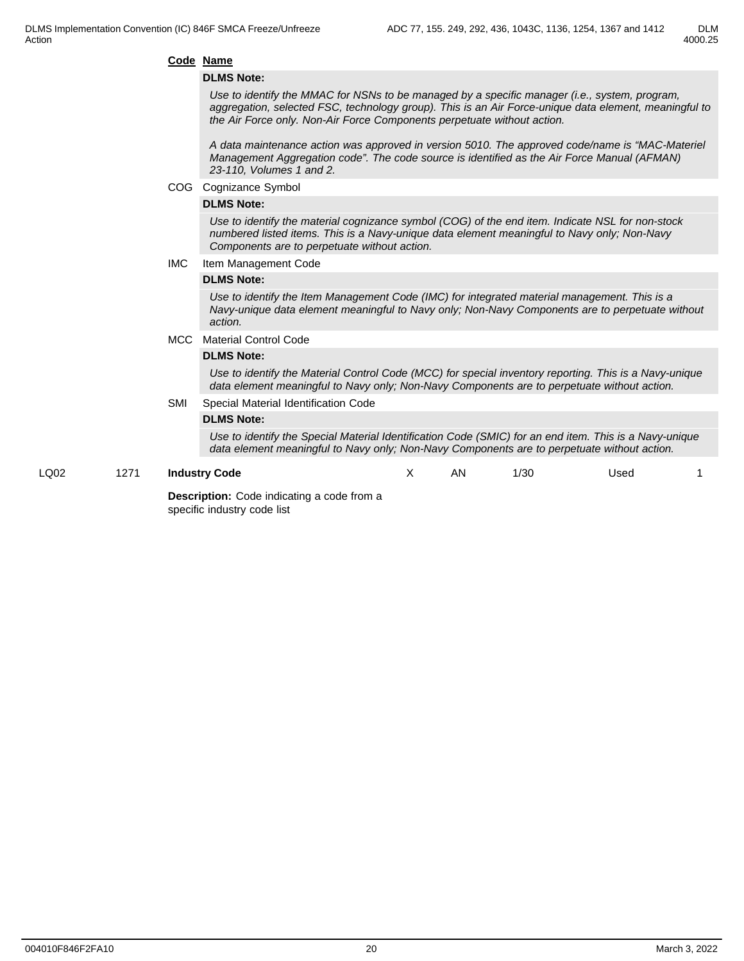#### 4000.25

#### **Code Name**

#### **DLMS Note:**

*Use to identify the MMAC for NSNs to be managed by a specific manager (i.e., system, program, aggregation, selected FSC, technology group). This is an Air Force-unique data element, meaningful to the Air Force only. Non-Air Force Components perpetuate without action.*

*A data maintenance action was approved in version 5010. The approved code/name is "MAC-Materiel Management Aggregation code". The code source is identified as the Air Force Manual (AFMAN) 23-110, Volumes 1 and 2.*

COG Cognizance Symbol

#### **DLMS Note:**

*Use to identify the material cognizance symbol (COG) of the end item. Indicate NSL for non-stock numbered listed items. This is a Navy-unique data element meaningful to Navy only; Non-Navy Components are to perpetuate without action.*

#### IMC Item Management Code

#### **DLMS Note:**

*Use to identify the Item Management Code (IMC) for integrated material management. This is a Navy-unique data element meaningful to Navy only; Non-Navy Components are to perpetuate without action.*

#### MCC Material Control Code

#### **DLMS Note:**

*Use to identify the Material Control Code (MCC) for special inventory reporting. This is a Navy-unique data element meaningful to Navy only; Non-Navy Components are to perpetuate without action.*

#### SMI Special Material Identification Code

#### **DLMS Note:**

*Use to identify the Special Material Identification Code (SMIC) for an end item. This is a Navy-unique data element meaningful to Navy only; Non-Navy Components are to perpetuate without action.*

#### LQ02 1271 **Industry Code**

X AN 1/30 Used 1

**Description:** Code indicating a code from a specific industry code list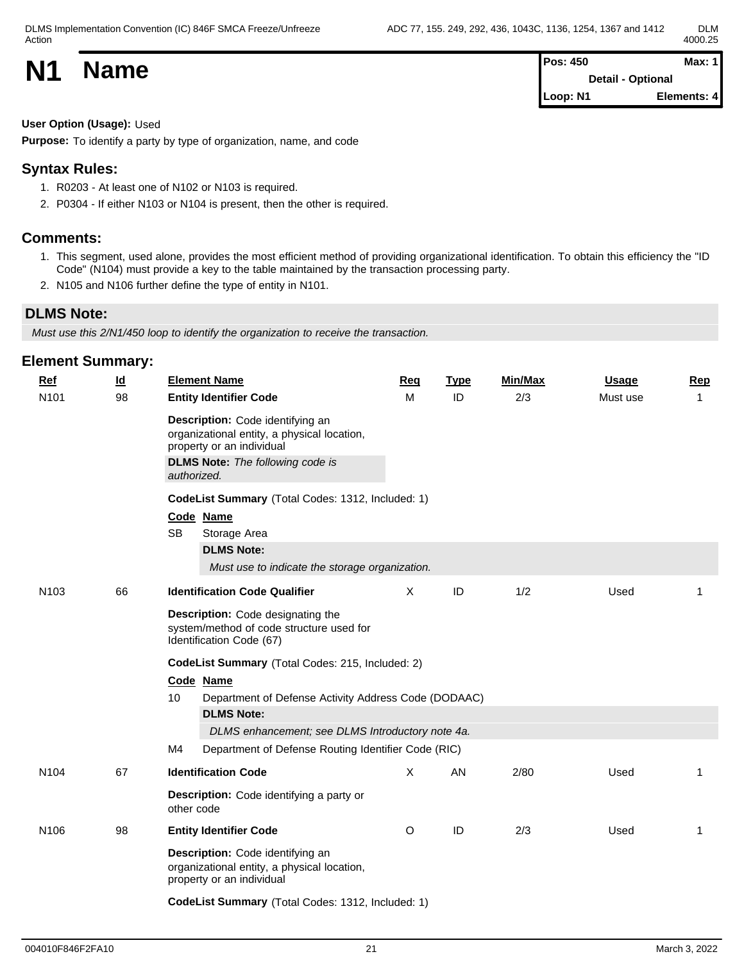| <b>N1</b> | <b>Name</b> | <b>Pos: 450</b>   | Max: 1      |  |
|-----------|-------------|-------------------|-------------|--|
|           |             | Detail - Optional |             |  |
|           |             | Loop: N1          | Elements: 4 |  |

**User Option (Usage):** Used

**Purpose:** To identify a party by type of organization, name, and code

### **Syntax Rules:**

- 1. R0203 At least one of N102 or N103 is required.
- 2. P0304 If either N103 or N104 is present, then the other is required.

#### **Comments:**

- 1. This segment, used alone, provides the most efficient method of providing organizational identification. To obtain this efficiency the "ID Code" (N104) must provide a key to the table maintained by the transaction processing party.
- 2. N105 and N106 further define the type of entity in N101.

#### **DLMS Note:**

*Must use this 2/N1/450 loop to identify the organization to receive the transaction.*

| <b>Element Summary:</b> |  |  |
|-------------------------|--|--|
|-------------------------|--|--|

| <b>Ref</b>       | $\underline{\mathsf{Id}}$                                                       | <b>Element Name</b>                                                                                                                                                    | Req      | <b>Type</b> | Min/Max | <b>Usage</b> | Rep          |  |  |  |
|------------------|---------------------------------------------------------------------------------|------------------------------------------------------------------------------------------------------------------------------------------------------------------------|----------|-------------|---------|--------------|--------------|--|--|--|
| N101             | 98                                                                              | <b>Entity Identifier Code</b>                                                                                                                                          | М        | ID          | 2/3     | Must use     | $\mathbf{1}$ |  |  |  |
|                  |                                                                                 | Description: Code identifying an<br>organizational entity, a physical location,<br>property or an individual<br><b>DLMS Note:</b> The following code is<br>authorized. |          |             |         |              |              |  |  |  |
|                  |                                                                                 | CodeList Summary (Total Codes: 1312, Included: 1)                                                                                                                      |          |             |         |              |              |  |  |  |
|                  |                                                                                 | Code Name<br><b>SB</b><br>Storage Area                                                                                                                                 |          |             |         |              |              |  |  |  |
|                  |                                                                                 | <b>DLMS Note:</b>                                                                                                                                                      |          |             |         |              |              |  |  |  |
|                  |                                                                                 | Must use to indicate the storage organization.                                                                                                                         |          |             |         |              |              |  |  |  |
| N <sub>103</sub> | 66                                                                              | <b>Identification Code Qualifier</b>                                                                                                                                   | $\times$ | ID          | 1/2     | Used         | -1           |  |  |  |
|                  |                                                                                 | Description: Code designating the<br>system/method of code structure used for<br>Identification Code (67)                                                              |          |             |         |              |              |  |  |  |
|                  |                                                                                 | CodeList Summary (Total Codes: 215, Included: 2)                                                                                                                       |          |             |         |              |              |  |  |  |
|                  |                                                                                 | Code Name                                                                                                                                                              |          |             |         |              |              |  |  |  |
|                  | 10<br>Department of Defense Activity Address Code (DODAAC)<br><b>DLMS Note:</b> |                                                                                                                                                                        |          |             |         |              |              |  |  |  |
|                  |                                                                                 | DLMS enhancement; see DLMS Introductory note 4a.                                                                                                                       |          |             |         |              |              |  |  |  |
|                  |                                                                                 | Department of Defense Routing Identifier Code (RIC)<br>M4                                                                                                              |          |             |         |              |              |  |  |  |
| N <sub>104</sub> | 67                                                                              | <b>Identification Code</b>                                                                                                                                             | X        | AN          | 2/80    | Used         | $\mathbf{1}$ |  |  |  |
|                  |                                                                                 |                                                                                                                                                                        |          |             |         |              |              |  |  |  |
|                  |                                                                                 | Description: Code identifying a party or<br>other code                                                                                                                 |          |             |         |              |              |  |  |  |
| N <sub>106</sub> | 98                                                                              | <b>Entity Identifier Code</b>                                                                                                                                          | $\circ$  | ID          | 2/3     | Used         | 1            |  |  |  |
|                  |                                                                                 | Description: Code identifying an<br>organizational entity, a physical location,<br>property or an individual                                                           |          |             |         |              |              |  |  |  |
|                  |                                                                                 | CodeList Summary (Total Codes: 1312, Included: 1)                                                                                                                      |          |             |         |              |              |  |  |  |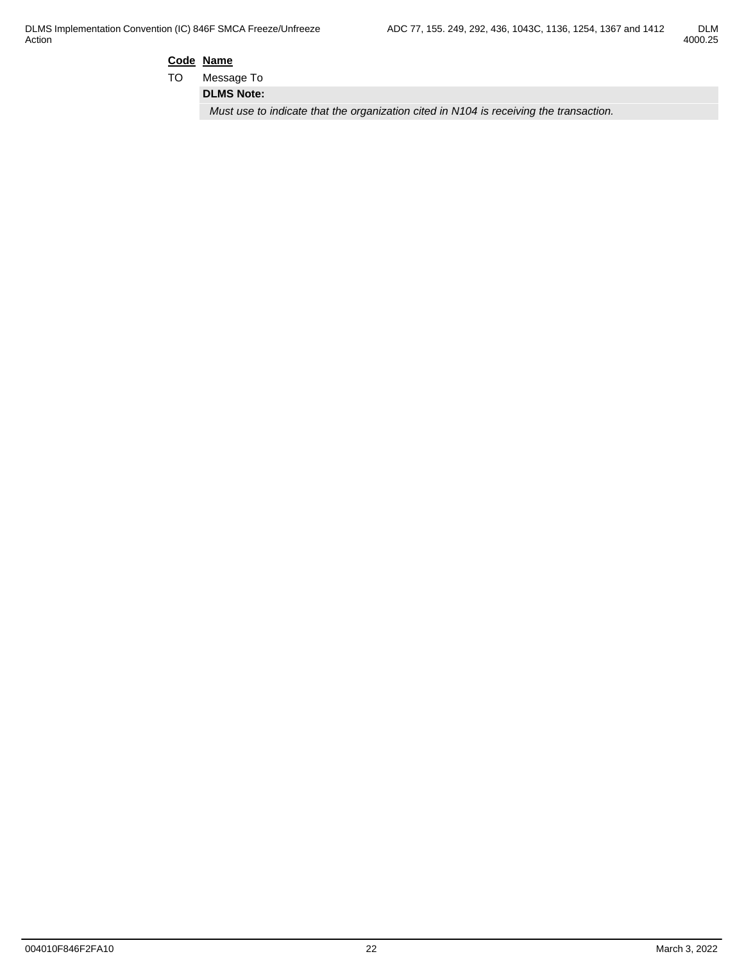$$
\begin{array}{c}\text{DLM} \\ \text{4000.25}\end{array}
$$

**Code Name**

TO Message To

**DLMS Note:**

*Must use to indicate that the organization cited in N104 is receiving the transaction.*